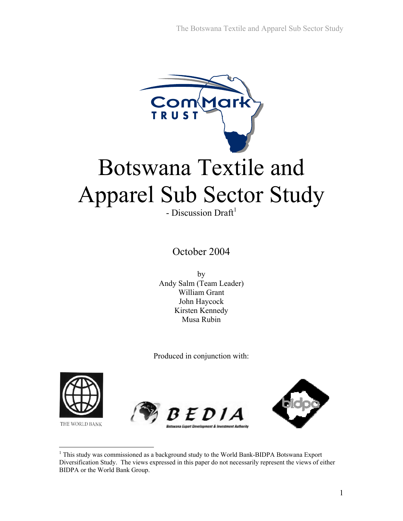

October 2004

by Andy Salm (Team Leader) William Grant John Haycock Kirsten Kennedy Musa Rubin

Produced in conjunction with:



THE WORLD BANK

 $\overline{a}$ 





<sup>&</sup>lt;sup>1</sup> This study was commissioned as a background study to the World Bank-BIDPA Botswana Export Diversification Study. The views expressed in this paper do not necessarily represent the views of either BIDPA or the World Bank Group.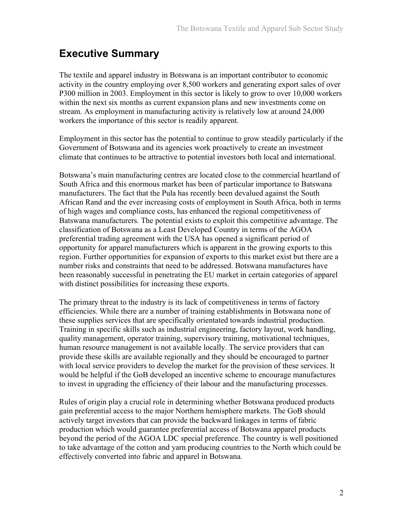## **Executive Summary**

The textile and apparel industry in Botswana is an important contributor to economic activity in the country employing over 8,500 workers and generating export sales of over P300 million in 2003. Employment in this sector is likely to grow to over 10,000 workers within the next six months as current expansion plans and new investments come on stream. As employment in manufacturing activity is relatively low at around 24,000 workers the importance of this sector is readily apparent.

Employment in this sector has the potential to continue to grow steadily particularly if the Government of Botswana and its agencies work proactively to create an investment climate that continues to be attractive to potential investors both local and international.

Botswana's main manufacturing centres are located close to the commercial heartland of South Africa and this enormous market has been of particular importance to Batswana manufacturers. The fact that the Pula has recently been devalued against the South African Rand and the ever increasing costs of employment in South Africa, both in terms of high wages and compliance costs, has enhanced the regional competitiveness of Batswana manufacturers. The potential exists to exploit this competitive advantage. The classification of Botswana as a Least Developed Country in terms of the AGOA preferential trading agreement with the USA has opened a significant period of opportunity for apparel manufacturers which is apparent in the growing exports to this region. Further opportunities for expansion of exports to this market exist but there are a number risks and constraints that need to be addressed. Botswana manufactures have been reasonably successful in penetrating the EU market in certain categories of apparel with distinct possibilities for increasing these exports.

The primary threat to the industry is its lack of competitiveness in terms of factory efficiencies. While there are a number of training establishments in Botswana none of these supplies services that are specifically orientated towards industrial production. Training in specific skills such as industrial engineering, factory layout, work handling, quality management, operator training, supervisory training, motivational techniques, human resource management is not available locally. The service providers that can provide these skills are available regionally and they should be encouraged to partner with local service providers to develop the market for the provision of these services. It would be helpful if the GoB developed an incentive scheme to encourage manufactures to invest in upgrading the efficiency of their labour and the manufacturing processes.

Rules of origin play a crucial role in determining whether Botswana produced products gain preferential access to the major Northern hemisphere markets. The GoB should actively target investors that can provide the backward linkages in terms of fabric production which would guarantee preferential access of Botswana apparel products beyond the period of the AGOA LDC special preference. The country is well positioned to take advantage of the cotton and yarn producing countries to the North which could be effectively converted into fabric and apparel in Botswana.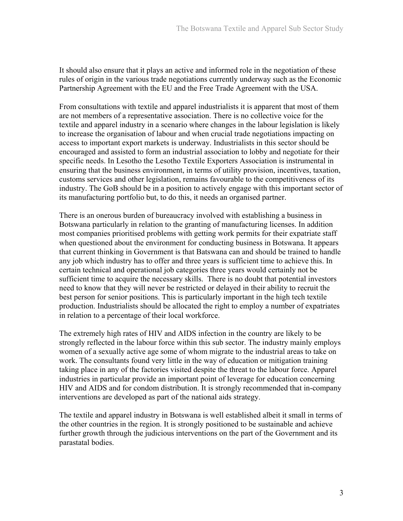It should also ensure that it plays an active and informed role in the negotiation of these rules of origin in the various trade negotiations currently underway such as the Economic Partnership Agreement with the EU and the Free Trade Agreement with the USA.

From consultations with textile and apparel industrialists it is apparent that most of them are not members of a representative association. There is no collective voice for the textile and apparel industry in a scenario where changes in the labour legislation is likely to increase the organisation of labour and when crucial trade negotiations impacting on access to important export markets is underway. Industrialists in this sector should be encouraged and assisted to form an industrial association to lobby and negotiate for their specific needs. In Lesotho the Lesotho Textile Exporters Association is instrumental in ensuring that the business environment, in terms of utility provision, incentives, taxation, customs services and other legislation, remains favourable to the competitiveness of its industry. The GoB should be in a position to actively engage with this important sector of its manufacturing portfolio but, to do this, it needs an organised partner.

There is an onerous burden of bureaucracy involved with establishing a business in Botswana particularly in relation to the granting of manufacturing licenses. In addition most companies prioritised problems with getting work permits for their expatriate staff when questioned about the environment for conducting business in Botswana. It appears that current thinking in Government is that Batswana can and should be trained to handle any job which industry has to offer and three years is sufficient time to achieve this. In certain technical and operational job categories three years would certainly not be sufficient time to acquire the necessary skills. There is no doubt that potential investors need to know that they will never be restricted or delayed in their ability to recruit the best person for senior positions. This is particularly important in the high tech textile production. Industrialists should be allocated the right to employ a number of expatriates in relation to a percentage of their local workforce.

The extremely high rates of HIV and AIDS infection in the country are likely to be strongly reflected in the labour force within this sub sector. The industry mainly employs women of a sexually active age some of whom migrate to the industrial areas to take on work. The consultants found very little in the way of education or mitigation training taking place in any of the factories visited despite the threat to the labour force. Apparel industries in particular provide an important point of leverage for education concerning HIV and AIDS and for condom distribution. It is strongly recommended that in-company interventions are developed as part of the national aids strategy.

The textile and apparel industry in Botswana is well established albeit it small in terms of the other countries in the region. It is strongly positioned to be sustainable and achieve further growth through the judicious interventions on the part of the Government and its parastatal bodies.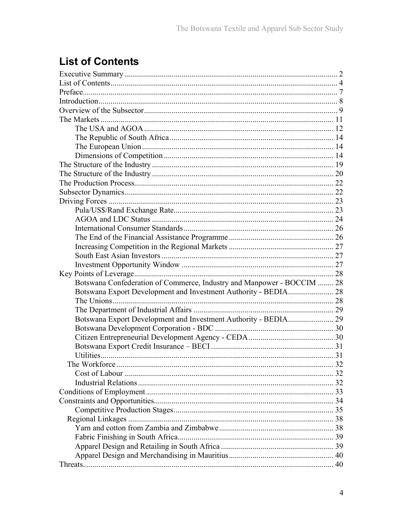# **List of Contents**

| Botswana Confederation of Commerce, Industry and Manpower - BOCCIM  28 |
|------------------------------------------------------------------------|
|                                                                        |
|                                                                        |
|                                                                        |
| Botswana Export Development and Investment Authority - BEDIA 29        |
|                                                                        |
|                                                                        |
|                                                                        |
|                                                                        |
|                                                                        |
|                                                                        |
|                                                                        |
|                                                                        |
|                                                                        |
|                                                                        |
|                                                                        |
|                                                                        |
|                                                                        |
|                                                                        |
|                                                                        |
|                                                                        |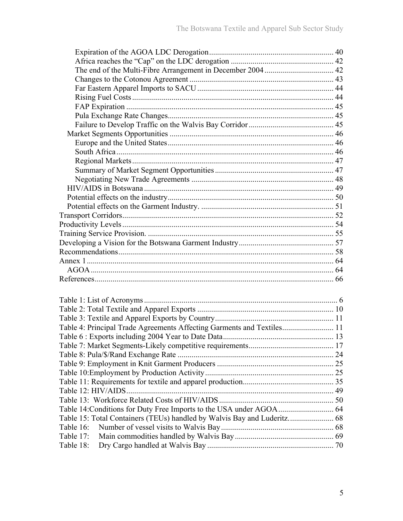| Table 4: Principal Trade Agreements Affecting Garments and Textiles 11 |  |
|------------------------------------------------------------------------|--|
|                                                                        |  |
|                                                                        |  |
|                                                                        |  |
|                                                                        |  |
|                                                                        |  |
|                                                                        |  |
|                                                                        |  |
|                                                                        |  |
|                                                                        |  |
|                                                                        |  |
| Table 16:                                                              |  |
| Table 17:                                                              |  |
| Table 18:                                                              |  |
|                                                                        |  |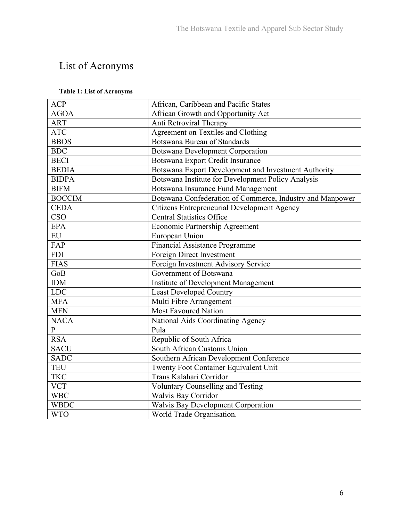# List of Acronyms

#### **Table 1: List of Acronyms**

| <b>ACP</b>     | African, Caribbean and Pacific States                     |
|----------------|-----------------------------------------------------------|
| <b>AGOA</b>    | African Growth and Opportunity Act                        |
| <b>ART</b>     | Anti Retroviral Therapy                                   |
| <b>ATC</b>     | Agreement on Textiles and Clothing                        |
| <b>BBOS</b>    | <b>Botswana Bureau of Standards</b>                       |
| <b>BDC</b>     | <b>Botswana Development Corporation</b>                   |
| <b>BECI</b>    | Botswana Export Credit Insurance                          |
| <b>BEDIA</b>   | Botswana Export Development and Investment Authority      |
| <b>BIDPA</b>   | Botswana Institute for Development Policy Analysis        |
| <b>BIFM</b>    | Botswana Insurance Fund Management                        |
| <b>BOCCIM</b>  | Botswana Confederation of Commerce, Industry and Manpower |
| <b>CEDA</b>    | Citizens Entrepreneurial Development Agency               |
| <b>CSO</b>     | <b>Central Statistics Office</b>                          |
| <b>EPA</b>     | <b>Economic Partnership Agreement</b>                     |
| ${\rm EU}$     | European Union                                            |
| FAP            | Financial Assistance Programme                            |
| <b>FDI</b>     | Foreign Direct Investment                                 |
| <b>FIAS</b>    | Foreign Investment Advisory Service                       |
| GoB            | Government of Botswana                                    |
| <b>IDM</b>     | <b>Institute of Development Management</b>                |
| <b>LDC</b>     | <b>Least Developed Country</b>                            |
| <b>MFA</b>     | Multi Fibre Arrangement                                   |
| <b>MFN</b>     | Most Favoured Nation                                      |
| <b>NACA</b>    | National Aids Coordinating Agency                         |
| $\overline{P}$ | Pula                                                      |
| <b>RSA</b>     | Republic of South Africa                                  |
| <b>SACU</b>    | South African Customs Union                               |
| <b>SADC</b>    | Southern African Development Conference                   |
| <b>TEU</b>     | <b>Twenty Foot Container Equivalent Unit</b>              |
| <b>TKC</b>     | Trans Kalahari Corridor                                   |
| <b>VCT</b>     | <b>Voluntary Counselling and Testing</b>                  |
| <b>WBC</b>     | <b>Walvis Bay Corridor</b>                                |
| <b>WBDC</b>    | <b>Walvis Bay Development Corporation</b>                 |
| <b>WTO</b>     | World Trade Organisation.                                 |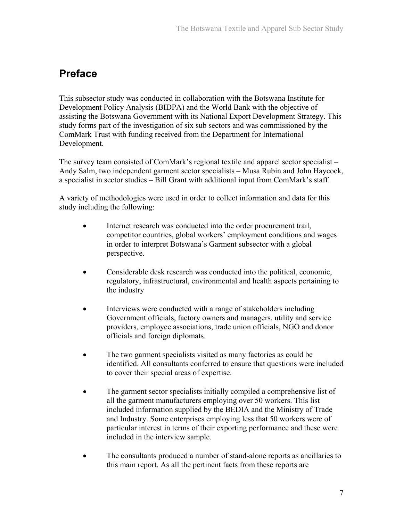## **Preface**

This subsector study was conducted in collaboration with the Botswana Institute for Development Policy Analysis (BIDPA) and the World Bank with the objective of assisting the Botswana Government with its National Export Development Strategy. This study forms part of the investigation of six sub sectors and was commissioned by the ComMark Trust with funding received from the Department for International Development.

The survey team consisted of ComMark's regional textile and apparel sector specialist – Andy Salm, two independent garment sector specialists – Musa Rubin and John Haycock, a specialist in sector studies – Bill Grant with additional input from ComMark's staff.

A variety of methodologies were used in order to collect information and data for this study including the following:

- Internet research was conducted into the order procurement trail, competitor countries, global workers' employment conditions and wages in order to interpret Botswana's Garment subsector with a global perspective.
- Considerable desk research was conducted into the political, economic, regulatory, infrastructural, environmental and health aspects pertaining to the industry
- Interviews were conducted with a range of stakeholders including Government officials, factory owners and managers, utility and service providers, employee associations, trade union officials, NGO and donor officials and foreign diplomats.
- The two garment specialists visited as many factories as could be identified. All consultants conferred to ensure that questions were included to cover their special areas of expertise.
- The garment sector specialists initially compiled a comprehensive list of all the garment manufacturers employing over 50 workers. This list included information supplied by the BEDIA and the Ministry of Trade and Industry. Some enterprises employing less that 50 workers were of particular interest in terms of their exporting performance and these were included in the interview sample.
- The consultants produced a number of stand-alone reports as ancillaries to this main report. As all the pertinent facts from these reports are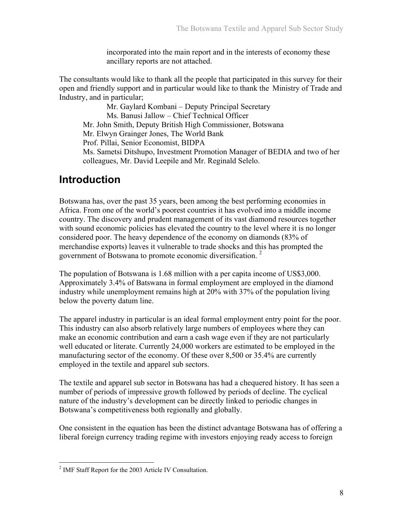incorporated into the main report and in the interests of economy these ancillary reports are not attached.

The consultants would like to thank all the people that participated in this survey for their open and friendly support and in particular would like to thank the Ministry of Trade and Industry, and in particular;

Mr. Gaylard Kombani – Deputy Principal Secretary Ms. Banusi Jallow – Chief Technical Officer Mr. John Smith, Deputy British High Commissioner, Botswana Mr. Elwyn Grainger Jones, The World Bank Prof. Pillai, Senior Economist, BIDPA Ms. Sametsi Ditshupo, Investment Promotion Manager of BEDIA and two of her colleagues, Mr. David Leepile and Mr. Reginald Selelo.

## **Introduction**

Botswana has, over the past 35 years, been among the best performing economies in Africa. From one of the world's poorest countries it has evolved into a middle income country. The discovery and prudent management of its vast diamond resources together with sound economic policies has elevated the country to the level where it is no longer considered poor. The heavy dependence of the economy on diamonds (83% of merchandise exports) leaves it vulnerable to trade shocks and this has prompted the government of Botswana to promote economic diversification.<sup>2</sup>

The population of Botswana is 1.68 million with a per capita income of US\$3,000. Approximately 3.4% of Batswana in formal employment are employed in the diamond industry while unemployment remains high at 20% with 37% of the population living below the poverty datum line.

The apparel industry in particular is an ideal formal employment entry point for the poor. This industry can also absorb relatively large numbers of employees where they can make an economic contribution and earn a cash wage even if they are not particularly well educated or literate. Currently 24,000 workers are estimated to be employed in the manufacturing sector of the economy. Of these over 8,500 or 35.4% are currently employed in the textile and apparel sub sectors.

The textile and apparel sub sector in Botswana has had a chequered history. It has seen a number of periods of impressive growth followed by periods of decline. The cyclical nature of the industry's development can be directly linked to periodic changes in Botswana's competitiveness both regionally and globally.

One consistent in the equation has been the distinct advantage Botswana has of offering a liberal foreign currency trading regime with investors enjoying ready access to foreign

 $\overline{a}$ <sup>2</sup> IMF Staff Report for the 2003 Article IV Consultation.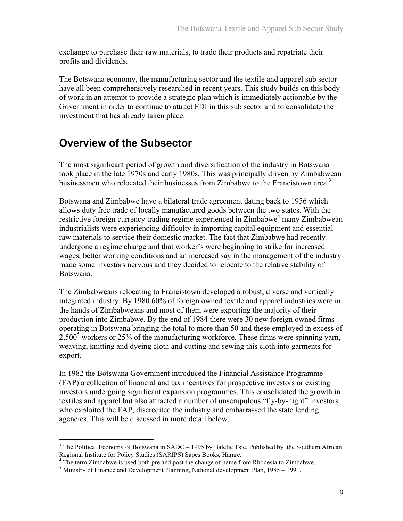exchange to purchase their raw materials, to trade their products and repatriate their profits and dividends.

The Botswana economy, the manufacturing sector and the textile and apparel sub sector have all been comprehensively researched in recent years. This study builds on this body of work in an attempt to provide a strategic plan which is immediately actionable by the Government in order to continue to attract FDI in this sub sector and to consolidate the investment that has already taken place.

## **Overview of the Subsector**

<u>.</u>

The most significant period of growth and diversification of the industry in Botswana took place in the late 1970s and early 1980s. This was principally driven by Zimbabwean businessmen who relocated their businesses from Zimbabwe to the Francistown area.<sup>3</sup>

Botswana and Zimbabwe have a bilateral trade agreement dating back to 1956 which allows duty free trade of locally manufactured goods between the two states. With the restrictive foreign currency trading regime experienced in Zimbabwe<sup>4</sup> many Zimbabwean industrialists were experiencing difficulty in importing capital equipment and essential raw materials to service their domestic market. The fact that Zimbabwe had recently undergone a regime change and that worker's were beginning to strike for increased wages, better working conditions and an increased say in the management of the industry made some investors nervous and they decided to relocate to the relative stability of Botswana.

The Zimbabweans relocating to Francistown developed a robust, diverse and vertically integrated industry. By 1980 60% of foreign owned textile and apparel industries were in the hands of Zimbabweans and most of them were exporting the majority of their production into Zimbabwe. By the end of 1984 there were 30 new foreign owned firms operating in Botswana bringing the total to more than 50 and these employed in excess of  $2,500<sup>5</sup>$  workers or 25% of the manufacturing workforce. These firms were spinning yarn, weaving, knitting and dyeing cloth and cutting and sewing this cloth into garments for export.

In 1982 the Botswana Government introduced the Financial Assistance Programme (FAP) a collection of financial and tax incentives for prospective investors or existing investors undergoing significant expansion programmes. This consolidated the growth in textiles and apparel but also attracted a number of unscrupulous "fly-by-night" investors who exploited the FAP, discredited the industry and embarrassed the state lending agencies. This will be discussed in more detail below.

 $3$  The Political Economy of Botswana in SADC – 1995 by Balefie Tsie. Published by the Southern African Regional Institute for Policy Studies (SARIPS) Sapes Books, Harare. 4

<sup>&</sup>lt;sup>4</sup> The term Zimbabwe is used both pre and post the change of name from Rhodesia to Zimbabwe.

 $<sup>5</sup>$  Ministry of Finance and Development Planning, National development Plan, 1985 – 1991.</sup>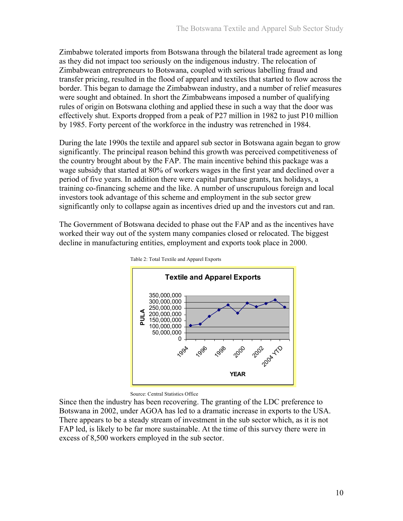Zimbabwe tolerated imports from Botswana through the bilateral trade agreement as long as they did not impact too seriously on the indigenous industry. The relocation of Zimbabwean entrepreneurs to Botswana, coupled with serious labelling fraud and transfer pricing, resulted in the flood of apparel and textiles that started to flow across the border. This began to damage the Zimbabwean industry, and a number of relief measures were sought and obtained. In short the Zimbabweans imposed a number of qualifying rules of origin on Botswana clothing and applied these in such a way that the door was effectively shut. Exports dropped from a peak of P27 million in 1982 to just P10 million by 1985. Forty percent of the workforce in the industry was retrenched in 1984.

During the late 1990s the textile and apparel sub sector in Botswana again began to grow significantly. The principal reason behind this growth was perceived competitiveness of the country brought about by the FAP. The main incentive behind this package was a wage subsidy that started at 80% of workers wages in the first year and declined over a period of five years. In addition there were capital purchase grants, tax holidays, a training co-financing scheme and the like. A number of unscrupulous foreign and local investors took advantage of this scheme and employment in the sub sector grew significantly only to collapse again as incentives dried up and the investors cut and ran.

The Government of Botswana decided to phase out the FAP and as the incentives have worked their way out of the system many companies closed or relocated. The biggest decline in manufacturing entities, employment and exports took place in 2000.



Table 2: Total Textile and Apparel Exports

Source: Central Statistics Office

Since then the industry has been recovering. The granting of the LDC preference to Botswana in 2002, under AGOA has led to a dramatic increase in exports to the USA. There appears to be a steady stream of investment in the sub sector which, as it is not FAP led, is likely to be far more sustainable. At the time of this survey there were in excess of 8,500 workers employed in the sub sector.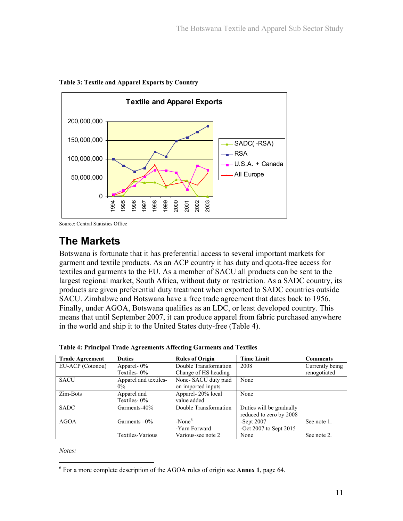

**Table 3: Textile and Apparel Exports by Country** 

Source: Central Statistics Office

# **The Markets**

Botswana is fortunate that it has preferential access to several important markets for garment and textile products. As an ACP country it has duty and quota-free access for textiles and garments to the EU. As a member of SACU all products can be sent to the largest regional market, South Africa, without duty or restriction. As a SADC country, its products are given preferential duty treatment when exported to SADC countries outside SACU. Zimbabwe and Botswana have a free trade agreement that dates back to 1956. Finally, under AGOA, Botswana qualifies as an LDC, or least developed country. This means that until September 2007, it can produce apparel from fabric purchased anywhere in the world and ship it to the United States duty-free (Table 4).

| <b>Trade Agreement</b> | <b>Duties</b>                  | <b>Rules of Origin</b>                    | <b>Time Limit</b>        | <b>Comments</b> |
|------------------------|--------------------------------|-------------------------------------------|--------------------------|-----------------|
| EU-ACP (Cotonou)       | Apparel- $0\%$                 | Double Transformation                     | 2008                     | Currently being |
|                        | Textiles-0%                    | Change of HS heading                      |                          | renogotiated    |
| <b>SACU</b>            | Apparel and textiles-<br>$0\%$ | None-SACU duty paid<br>on imported inputs | None                     |                 |
| Zim-Bots               | Apparel and                    | Apparel-20% local                         | None                     |                 |
|                        | Textiles-0%                    | value added                               |                          |                 |
| <b>SADC</b>            | Garments-40%                   | Double Transformation                     | Duties will be gradually |                 |
|                        |                                |                                           | reduced to zero by 2008  |                 |
| <b>AGOA</b>            | Garments $-0\%$                | $-None6$                                  | -Sept $2007$             | See note 1.     |
|                        |                                | -Yarn Forward                             | -Oct 2007 to Sept $2015$ |                 |
|                        | Textiles-Various               | Various-see note 2                        | None                     | See note 2.     |

**Table 4: Principal Trade Agreements Affecting Garments and Textiles** 

*Notes:*

 $\overline{a}$ 

<sup>6</sup> For a more complete description of the AGOA rules of origin see **Annex 1**, page 64.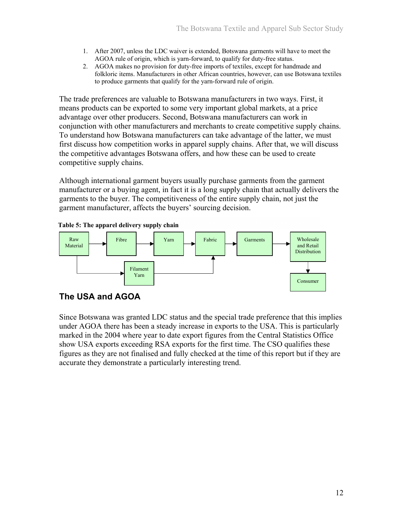- 1. After 2007, unless the LDC waiver is extended, Botswana garments will have to meet the AGOA rule of origin, which is yarn-forward, to qualify for duty-free status.
- 2. AGOA makes no provision for duty-free imports of textiles, except for handmade and folkloric items. Manufacturers in other African countries, however, can use Botswana textiles to produce garments that qualify for the yarn-forward rule of origin.

The trade preferences are valuable to Botswana manufacturers in two ways. First, it means products can be exported to some very important global markets, at a price advantage over other producers. Second, Botswana manufacturers can work in conjunction with other manufacturers and merchants to create competitive supply chains. To understand how Botswana manufacturers can take advantage of the latter, we must first discuss how competition works in apparel supply chains. After that, we will discuss the competitive advantages Botswana offers, and how these can be used to create competitive supply chains.

Although international garment buyers usually purchase garments from the garment manufacturer or a buying agent, in fact it is a long supply chain that actually delivers the garments to the buyer. The competitiveness of the entire supply chain, not just the garment manufacturer, affects the buyers' sourcing decision.





#### **The USA and AGOA**

Since Botswana was granted LDC status and the special trade preference that this implies under AGOA there has been a steady increase in exports to the USA. This is particularly marked in the 2004 where year to date export figures from the Central Statistics Office show USA exports exceeding RSA exports for the first time. The CSO qualifies these figures as they are not finalised and fully checked at the time of this report but if they are accurate they demonstrate a particularly interesting trend.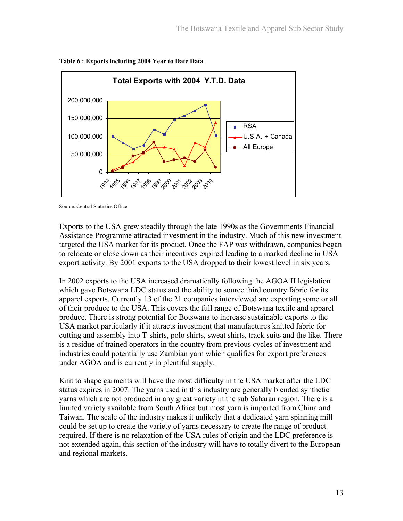

**Table 6 : Exports including 2004 Year to Date Data** 

Source: Central Statistics Office

Exports to the USA grew steadily through the late 1990s as the Governments Financial Assistance Programme attracted investment in the industry. Much of this new investment targeted the USA market for its product. Once the FAP was withdrawn, companies began to relocate or close down as their incentives expired leading to a marked decline in USA export activity. By 2001 exports to the USA dropped to their lowest level in six years.

In 2002 exports to the USA increased dramatically following the AGOA II legislation which gave Botswana LDC status and the ability to source third country fabric for its apparel exports. Currently 13 of the 21 companies interviewed are exporting some or all of their produce to the USA. This covers the full range of Botswana textile and apparel produce. There is strong potential for Botswana to increase sustainable exports to the USA market particularly if it attracts investment that manufactures knitted fabric for cutting and assembly into T-shirts, polo shirts, sweat shirts, track suits and the like. There is a residue of trained operators in the country from previous cycles of investment and industries could potentially use Zambian yarn which qualifies for export preferences under AGOA and is currently in plentiful supply.

Knit to shape garments will have the most difficulty in the USA market after the LDC status expires in 2007. The yarns used in this industry are generally blended synthetic yarns which are not produced in any great variety in the sub Saharan region. There is a limited variety available from South Africa but most yarn is imported from China and Taiwan. The scale of the industry makes it unlikely that a dedicated yarn spinning mill could be set up to create the variety of yarns necessary to create the range of product required. If there is no relaxation of the USA rules of origin and the LDC preference is not extended again, this section of the industry will have to totally divert to the European and regional markets.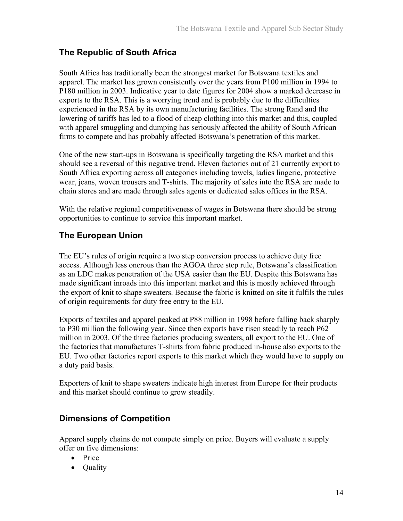### **The Republic of South Africa**

South Africa has traditionally been the strongest market for Botswana textiles and apparel. The market has grown consistently over the years from P100 million in 1994 to P180 million in 2003. Indicative year to date figures for 2004 show a marked decrease in exports to the RSA. This is a worrying trend and is probably due to the difficulties experienced in the RSA by its own manufacturing facilities. The strong Rand and the lowering of tariffs has led to a flood of cheap clothing into this market and this, coupled with apparel smuggling and dumping has seriously affected the ability of South African firms to compete and has probably affected Botswana's penetration of this market.

One of the new start-ups in Botswana is specifically targeting the RSA market and this should see a reversal of this negative trend. Eleven factories out of 21 currently export to South Africa exporting across all categories including towels, ladies lingerie, protective wear, jeans, woven trousers and T-shirts. The majority of sales into the RSA are made to chain stores and are made through sales agents or dedicated sales offices in the RSA.

With the relative regional competitiveness of wages in Botswana there should be strong opportunities to continue to service this important market.

### **The European Union**

The EU's rules of origin require a two step conversion process to achieve duty free access. Although less onerous than the AGOA three step rule, Botswana's classification as an LDC makes penetration of the USA easier than the EU. Despite this Botswana has made significant inroads into this important market and this is mostly achieved through the export of knit to shape sweaters. Because the fabric is knitted on site it fulfils the rules of origin requirements for duty free entry to the EU.

Exports of textiles and apparel peaked at P88 million in 1998 before falling back sharply to P30 million the following year. Since then exports have risen steadily to reach P62 million in 2003. Of the three factories producing sweaters, all export to the EU. One of the factories that manufactures T-shirts from fabric produced in-house also exports to the EU. Two other factories report exports to this market which they would have to supply on a duty paid basis.

Exporters of knit to shape sweaters indicate high interest from Europe for their products and this market should continue to grow steadily.

### **Dimensions of Competition**

Apparel supply chains do not compete simply on price. Buyers will evaluate a supply offer on five dimensions:

- Price
- Quality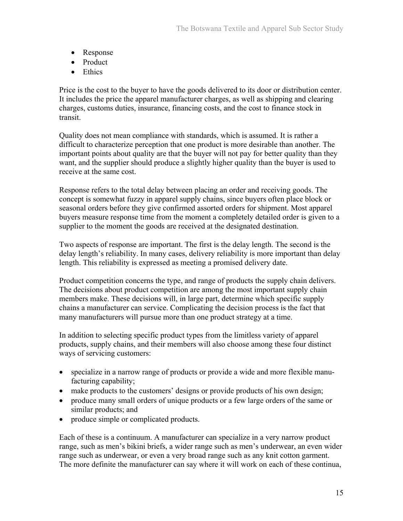- Response
- Product
- Ethics

Price is the cost to the buyer to have the goods delivered to its door or distribution center. It includes the price the apparel manufacturer charges, as well as shipping and clearing charges, customs duties, insurance, financing costs, and the cost to finance stock in transit.

Quality does not mean compliance with standards, which is assumed. It is rather a difficult to characterize perception that one product is more desirable than another. The important points about quality are that the buyer will not pay for better quality than they want, and the supplier should produce a slightly higher quality than the buyer is used to receive at the same cost.

Response refers to the total delay between placing an order and receiving goods. The concept is somewhat fuzzy in apparel supply chains, since buyers often place block or seasonal orders before they give confirmed assorted orders for shipment. Most apparel buyers measure response time from the moment a completely detailed order is given to a supplier to the moment the goods are received at the designated destination.

Two aspects of response are important. The first is the delay length. The second is the delay length's reliability. In many cases, delivery reliability is more important than delay length. This reliability is expressed as meeting a promised delivery date.

Product competition concerns the type, and range of products the supply chain delivers. The decisions about product competition are among the most important supply chain members make. These decisions will, in large part, determine which specific supply chains a manufacturer can service. Complicating the decision process is the fact that many manufacturers will pursue more than one product strategy at a time.

In addition to selecting specific product types from the limitless variety of apparel products, supply chains, and their members will also choose among these four distinct ways of servicing customers:

- specialize in a narrow range of products or provide a wide and more flexible manufacturing capability;
- make products to the customers' designs or provide products of his own design;
- produce many small orders of unique products or a few large orders of the same or similar products; and
- produce simple or complicated products.

Each of these is a continuum. A manufacturer can specialize in a very narrow product range, such as men's bikini briefs, a wider range such as men's underwear, an even wider range such as underwear, or even a very broad range such as any knit cotton garment. The more definite the manufacturer can say where it will work on each of these continua,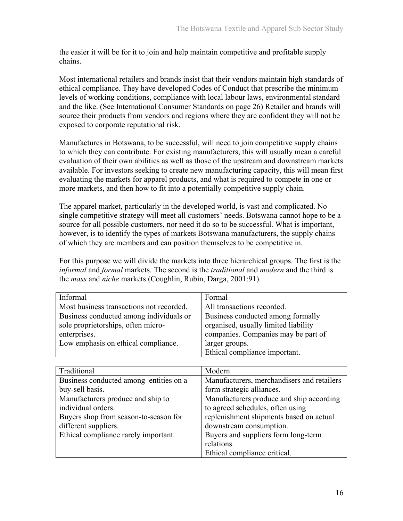the easier it will be for it to join and help maintain competitive and profitable supply chains.

Most international retailers and brands insist that their vendors maintain high standards of ethical compliance. They have developed Codes of Conduct that prescribe the minimum levels of working conditions, compliance with local labour laws, environmental standard and the like. (See International Consumer Standards on page 26) Retailer and brands will source their products from vendors and regions where they are confident they will not be exposed to corporate reputational risk.

Manufactures in Botswana, to be successful, will need to join competitive supply chains to which they can contribute. For existing manufacturers, this will usually mean a careful evaluation of their own abilities as well as those of the upstream and downstream markets available. For investors seeking to create new manufacturing capacity, this will mean first evaluating the markets for apparel products, and what is required to compete in one or more markets, and then how to fit into a potentially competitive supply chain.

The apparel market, particularly in the developed world, is vast and complicated. No single competitive strategy will meet all customers' needs. Botswana cannot hope to be a source for all possible customers, nor need it do so to be successful. What is important, however, is to identify the types of markets Botswana manufacturers, the supply chains of which they are members and can position themselves to be competitive in.

For this purpose we will divide the markets into three hierarchical groups. The first is the *informal* and *formal* markets. The second is the *traditional* and *modern* and the third is the *mass* and *niche* markets (Coughlin, Rubin, Darga, 2001:91).

| Informal                                 | Formal                               |
|------------------------------------------|--------------------------------------|
| Most business transactions not recorded. | All transactions recorded.           |
| Business conducted among individuals or  | Business conducted among formally    |
| sole proprietorships, often micro-       | organised, usually limited liability |
| enterprises.                             | companies. Companies may be part of  |
| Low emphasis on ethical compliance.      | larger groups.                       |
|                                          | Ethical compliance important.        |

| Traditional                            | Modern                                     |
|----------------------------------------|--------------------------------------------|
| Business conducted among entities on a | Manufacturers, merchandisers and retailers |
| buy-sell basis.                        | form strategic alliances.                  |
| Manufacturers produce and ship to      | Manufacturers produce and ship according   |
| individual orders.                     | to agreed schedules, often using           |
| Buyers shop from season-to-season for  | replenishment shipments based on actual    |
| different suppliers.                   | downstream consumption.                    |
| Ethical compliance rarely important.   | Buyers and suppliers form long-term        |
|                                        | relations.                                 |
|                                        | Ethical compliance critical.               |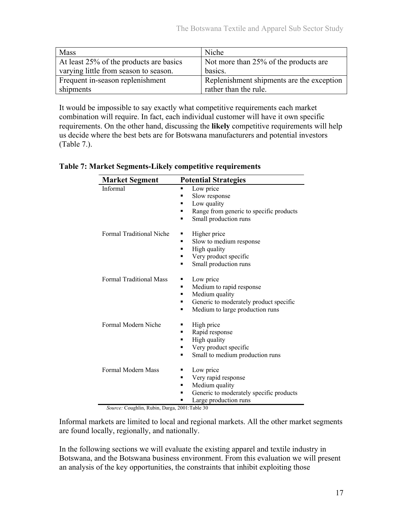| <b>Mass</b>                             | Niche                                     |
|-----------------------------------------|-------------------------------------------|
| At least 25% of the products are basics | Not more than 25% of the products are     |
| varying little from season to season.   | basics.                                   |
| Frequent in-season replenishment        | Replenishment shipments are the exception |
| shipments                               | rather than the rule.                     |

It would be impossible to say exactly what competitive requirements each market combination will require. In fact, each individual customer will have it own specific requirements. On the other hand, discussing the **likely** competitive requirements will help us decide where the best bets are for Botswana manufacturers and potential investors (Table 7.).

#### **Table 7: Market Segments-Likely competitive requirements**

| <b>Market Segment</b>          | <b>Potential Strategies</b>                  |
|--------------------------------|----------------------------------------------|
| Informal                       | Low price<br>٠<br>Slow response              |
|                                | Low quality<br>٠                             |
|                                | Range from generic to specific products<br>٠ |
|                                | Small production runs<br>٠                   |
| Formal Traditional Niche       | Higher price<br>п                            |
|                                | Slow to medium response<br>٠                 |
|                                | High quality<br>٠                            |
|                                | Very product specific<br>٠                   |
|                                | Small production runs<br>٠                   |
| <b>Formal Traditional Mass</b> | Low price<br>п                               |
|                                | Medium to rapid response<br>٠                |
|                                | Medium quality<br>٠                          |
|                                | Generic to moderately product specific<br>п  |
|                                | Medium to large production runs<br>٠         |
| Formal Modern Niche            | High price<br>٠                              |
|                                | Rapid response<br>п                          |
|                                | High quality<br>٠                            |
|                                | Very product specific<br>٠                   |
|                                | Small to medium production runs<br>٠         |
| Formal Modern Mass             | Low price<br>٠                               |
|                                | Very rapid response<br>٠                     |
|                                | Medium quality<br>п                          |
|                                | Generic to moderately specific products<br>٠ |
|                                | Large production runs                        |

*Source:* Coughlin, Rubin, Darga, 2001:Table 30

Informal markets are limited to local and regional markets. All the other market segments are found locally, regionally, and nationally.

In the following sections we will evaluate the existing apparel and textile industry in Botswana, and the Botswana business environment. From this evaluation we will present an analysis of the key opportunities, the constraints that inhibit exploiting those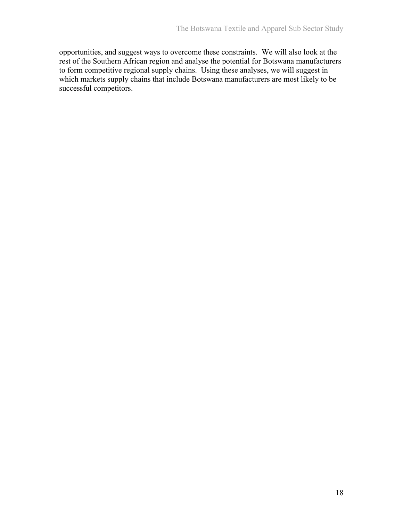opportunities, and suggest ways to overcome these constraints. We will also look at the rest of the Southern African region and analyse the potential for Botswana manufacturers to form competitive regional supply chains. Using these analyses, we will suggest in which markets supply chains that include Botswana manufacturers are most likely to be successful competitors.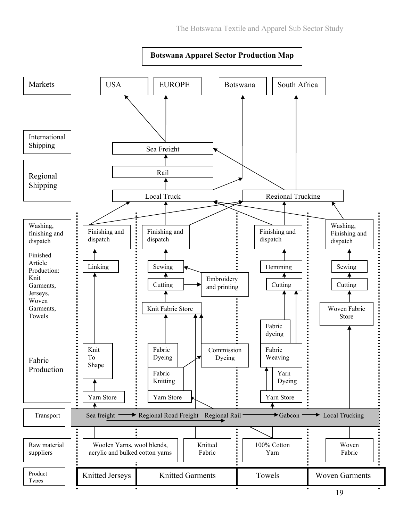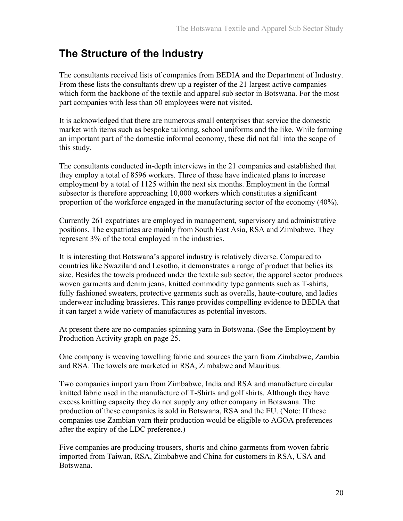## **The Structure of the Industry**

The consultants received lists of companies from BEDIA and the Department of Industry. From these lists the consultants drew up a register of the 21 largest active companies which form the backbone of the textile and apparel sub sector in Botswana. For the most part companies with less than 50 employees were not visited.

It is acknowledged that there are numerous small enterprises that service the domestic market with items such as bespoke tailoring, school uniforms and the like. While forming an important part of the domestic informal economy, these did not fall into the scope of this study.

The consultants conducted in-depth interviews in the 21 companies and established that they employ a total of 8596 workers. Three of these have indicated plans to increase employment by a total of 1125 within the next six months. Employment in the formal subsector is therefore approaching 10,000 workers which constitutes a significant proportion of the workforce engaged in the manufacturing sector of the economy (40%).

Currently 261 expatriates are employed in management, supervisory and administrative positions. The expatriates are mainly from South East Asia, RSA and Zimbabwe. They represent 3% of the total employed in the industries.

It is interesting that Botswana's apparel industry is relatively diverse. Compared to countries like Swaziland and Lesotho, it demonstrates a range of product that belies its size. Besides the towels produced under the textile sub sector, the apparel sector produces woven garments and denim jeans, knitted commodity type garments such as T-shirts, fully fashioned sweaters, protective garments such as overalls, haute-couture, and ladies underwear including brassieres. This range provides compelling evidence to BEDIA that it can target a wide variety of manufactures as potential investors.

At present there are no companies spinning yarn in Botswana. (See the Employment by Production Activity graph on page 25.

One company is weaving towelling fabric and sources the yarn from Zimbabwe, Zambia and RSA. The towels are marketed in RSA, Zimbabwe and Mauritius.

Two companies import yarn from Zimbabwe, India and RSA and manufacture circular knitted fabric used in the manufacture of T-Shirts and golf shirts. Although they have excess knitting capacity they do not supply any other company in Botswana. The production of these companies is sold in Botswana, RSA and the EU. (Note: If these companies use Zambian yarn their production would be eligible to AGOA preferences after the expiry of the LDC preference.)

Five companies are producing trousers, shorts and chino garments from woven fabric imported from Taiwan, RSA, Zimbabwe and China for customers in RSA, USA and Botswana.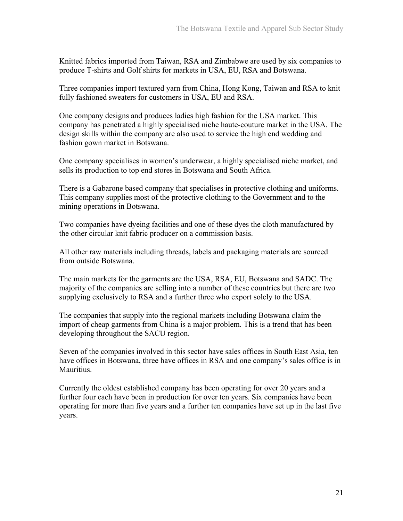Knitted fabrics imported from Taiwan, RSA and Zimbabwe are used by six companies to produce T-shirts and Golf shirts for markets in USA, EU, RSA and Botswana.

Three companies import textured yarn from China, Hong Kong, Taiwan and RSA to knit fully fashioned sweaters for customers in USA, EU and RSA.

One company designs and produces ladies high fashion for the USA market. This company has penetrated a highly specialised niche haute-couture market in the USA. The design skills within the company are also used to service the high end wedding and fashion gown market in Botswana.

One company specialises in women's underwear, a highly specialised niche market, and sells its production to top end stores in Botswana and South Africa.

There is a Gabarone based company that specialises in protective clothing and uniforms. This company supplies most of the protective clothing to the Government and to the mining operations in Botswana.

Two companies have dyeing facilities and one of these dyes the cloth manufactured by the other circular knit fabric producer on a commission basis.

All other raw materials including threads, labels and packaging materials are sourced from outside Botswana.

The main markets for the garments are the USA, RSA, EU, Botswana and SADC. The majority of the companies are selling into a number of these countries but there are two supplying exclusively to RSA and a further three who export solely to the USA.

The companies that supply into the regional markets including Botswana claim the import of cheap garments from China is a major problem. This is a trend that has been developing throughout the SACU region.

Seven of the companies involved in this sector have sales offices in South East Asia, ten have offices in Botswana, three have offices in RSA and one company's sales office is in Mauritius.

Currently the oldest established company has been operating for over 20 years and a further four each have been in production for over ten years. Six companies have been operating for more than five years and a further ten companies have set up in the last five years.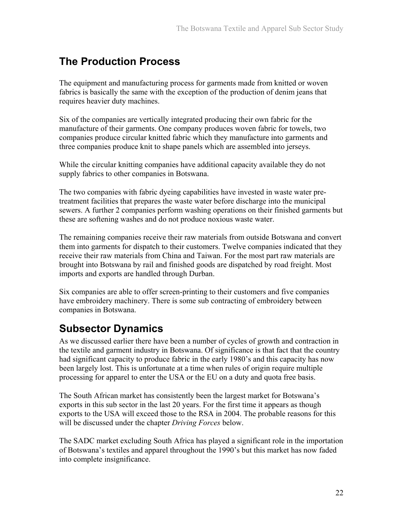## **The Production Process**

The equipment and manufacturing process for garments made from knitted or woven fabrics is basically the same with the exception of the production of denim jeans that requires heavier duty machines.

Six of the companies are vertically integrated producing their own fabric for the manufacture of their garments. One company produces woven fabric for towels, two companies produce circular knitted fabric which they manufacture into garments and three companies produce knit to shape panels which are assembled into jerseys.

While the circular knitting companies have additional capacity available they do not supply fabrics to other companies in Botswana.

The two companies with fabric dyeing capabilities have invested in waste water pretreatment facilities that prepares the waste water before discharge into the municipal sewers. A further 2 companies perform washing operations on their finished garments but these are softening washes and do not produce noxious waste water.

The remaining companies receive their raw materials from outside Botswana and convert them into garments for dispatch to their customers. Twelve companies indicated that they receive their raw materials from China and Taiwan. For the most part raw materials are brought into Botswana by rail and finished goods are dispatched by road freight. Most imports and exports are handled through Durban.

Six companies are able to offer screen-printing to their customers and five companies have embroidery machinery. There is some sub contracting of embroidery between companies in Botswana.

## **Subsector Dynamics**

As we discussed earlier there have been a number of cycles of growth and contraction in the textile and garment industry in Botswana. Of significance is that fact that the country had significant capacity to produce fabric in the early 1980's and this capacity has now been largely lost. This is unfortunate at a time when rules of origin require multiple processing for apparel to enter the USA or the EU on a duty and quota free basis.

The South African market has consistently been the largest market for Botswana's exports in this sub sector in the last 20 years. For the first time it appears as though exports to the USA will exceed those to the RSA in 2004. The probable reasons for this will be discussed under the chapter *Driving Forces* below.

The SADC market excluding South Africa has played a significant role in the importation of Botswana's textiles and apparel throughout the 1990's but this market has now faded into complete insignificance.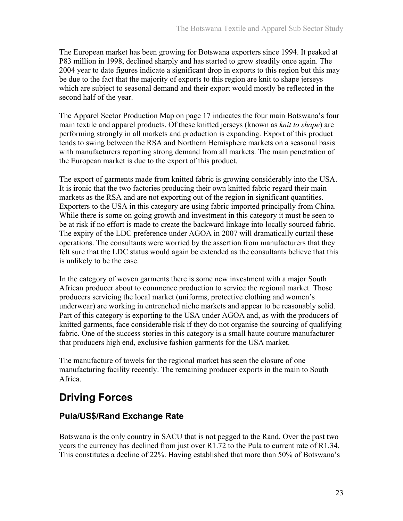The European market has been growing for Botswana exporters since 1994. It peaked at P83 million in 1998, declined sharply and has started to grow steadily once again. The 2004 year to date figures indicate a significant drop in exports to this region but this may be due to the fact that the majority of exports to this region are knit to shape jerseys which are subject to seasonal demand and their export would mostly be reflected in the second half of the year.

The Apparel Sector Production Map on page 17 indicates the four main Botswana's four main textile and apparel products. Of these knitted jerseys (known as *knit to shape*) are performing strongly in all markets and production is expanding. Export of this product tends to swing between the RSA and Northern Hemisphere markets on a seasonal basis with manufacturers reporting strong demand from all markets. The main penetration of the European market is due to the export of this product.

The export of garments made from knitted fabric is growing considerably into the USA. It is ironic that the two factories producing their own knitted fabric regard their main markets as the RSA and are not exporting out of the region in significant quantities. Exporters to the USA in this category are using fabric imported principally from China. While there is some on going growth and investment in this category it must be seen to be at risk if no effort is made to create the backward linkage into locally sourced fabric. The expiry of the LDC preference under AGOA in 2007 will dramatically curtail these operations. The consultants were worried by the assertion from manufacturers that they felt sure that the LDC status would again be extended as the consultants believe that this is unlikely to be the case.

In the category of woven garments there is some new investment with a major South African producer about to commence production to service the regional market. Those producers servicing the local market (uniforms, protective clothing and women's underwear) are working in entrenched niche markets and appear to be reasonably solid. Part of this category is exporting to the USA under AGOA and, as with the producers of knitted garments, face considerable risk if they do not organise the sourcing of qualifying fabric. One of the success stories in this category is a small haute couture manufacturer that producers high end, exclusive fashion garments for the USA market.

The manufacture of towels for the regional market has seen the closure of one manufacturing facility recently. The remaining producer exports in the main to South Africa.

# **Driving Forces**

#### **Pula/US\$/Rand Exchange Rate**

Botswana is the only country in SACU that is not pegged to the Rand. Over the past two years the currency has declined from just over R1.72 to the Pula to current rate of R1.34. This constitutes a decline of 22%. Having established that more than 50% of Botswana's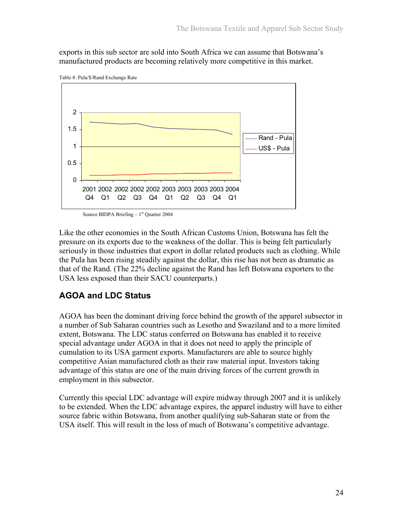exports in this sub sector are sold into South Africa we can assume that Botswana's manufactured products are becoming relatively more competitive in this market.



Table 8: Pula/\$/Rand Exchange Rate

Source BIDPA Briefing  $-1<sup>st</sup>$  Quarter 2004

Like the other economies in the South African Customs Union, Botswana has felt the pressure on its exports due to the weakness of the dollar. This is being felt particularly seriously in those industries that export in dollar related products such as clothing. While the Pula has been rising steadily against the dollar, this rise has not been as dramatic as that of the Rand. (The 22% decline against the Rand has left Botswana exporters to the USA less exposed than their SACU counterparts.)

#### **AGOA and LDC Status**

AGOA has been the dominant driving force behind the growth of the apparel subsector in a number of Sub Saharan countries such as Lesotho and Swaziland and to a more limited extent, Botswana. The LDC status conferred on Botswana has enabled it to receive special advantage under AGOA in that it does not need to apply the principle of cumulation to its USA garment exports. Manufacturers are able to source highly competitive Asian manufactured cloth as their raw material input. Investors taking advantage of this status are one of the main driving forces of the current growth in employment in this subsector.

Currently this special LDC advantage will expire midway through 2007 and it is unlikely to be extended. When the LDC advantage expires, the apparel industry will have to either source fabric within Botswana, from another qualifying sub-Saharan state or from the USA itself. This will result in the loss of much of Botswana's competitive advantage.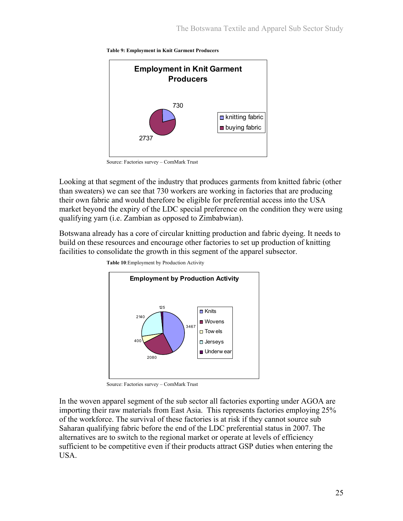



Source: Factories survey – ComMark Trust

Looking at that segment of the industry that produces garments from knitted fabric (other than sweaters) we can see that 730 workers are working in factories that are producing their own fabric and would therefore be eligible for preferential access into the USA market beyond the expiry of the LDC special preference on the condition they were using qualifying yarn (i.e. Zambian as opposed to Zimbabwian).

Botswana already has a core of circular knitting production and fabric dyeing. It needs to build on these resources and encourage other factories to set up production of knitting facilities to consolidate the growth in this segment of the apparel subsector.



 **Table 10**:Employment by Production Activity

Source: Factories survey – ComMark Trust

In the woven apparel segment of the sub sector all factories exporting under AGOA are importing their raw materials from East Asia. This represents factories employing 25% of the workforce. The survival of these factories is at risk if they cannot source sub Saharan qualifying fabric before the end of the LDC preferential status in 2007. The alternatives are to switch to the regional market or operate at levels of efficiency sufficient to be competitive even if their products attract GSP duties when entering the USA.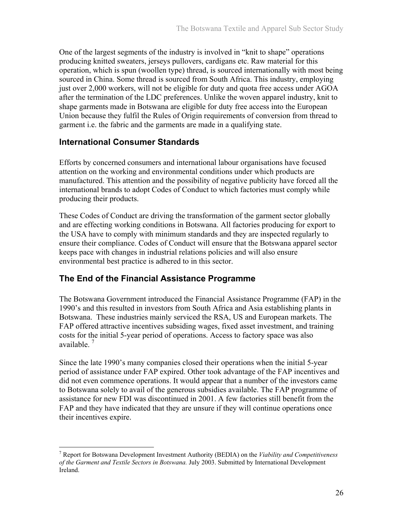One of the largest segments of the industry is involved in "knit to shape" operations producing knitted sweaters, jerseys pullovers, cardigans etc. Raw material for this operation, which is spun (woollen type) thread, is sourced internationally with most being sourced in China. Some thread is sourced from South Africa. This industry, employing just over 2,000 workers, will not be eligible for duty and quota free access under AGOA after the termination of the LDC preferences. Unlike the woven apparel industry, knit to shape garments made in Botswana are eligible for duty free access into the European Union because they fulfil the Rules of Origin requirements of conversion from thread to garment i.e. the fabric and the garments are made in a qualifying state.

#### **International Consumer Standards**

 $\overline{a}$ 

Efforts by concerned consumers and international labour organisations have focused attention on the working and environmental conditions under which products are manufactured. This attention and the possibility of negative publicity have forced all the international brands to adopt Codes of Conduct to which factories must comply while producing their products.

These Codes of Conduct are driving the transformation of the garment sector globally and are effecting working conditions in Botswana. All factories producing for export to the USA have to comply with minimum standards and they are inspected regularly to ensure their compliance. Codes of Conduct will ensure that the Botswana apparel sector keeps pace with changes in industrial relations policies and will also ensure environmental best practice is adhered to in this sector.

#### **The End of the Financial Assistance Programme**

The Botswana Government introduced the Financial Assistance Programme (FAP) in the 1990's and this resulted in investors from South Africa and Asia establishing plants in Botswana. These industries mainly serviced the RSA, US and European markets. The FAP offered attractive incentives subsiding wages, fixed asset investment, and training costs for the initial 5-year period of operations. Access to factory space was also available. 7

Since the late 1990's many companies closed their operations when the initial 5-year period of assistance under FAP expired. Other took advantage of the FAP incentives and did not even commence operations. It would appear that a number of the investors came to Botswana solely to avail of the generous subsidies available. The FAP programme of assistance for new FDI was discontinued in 2001. A few factories still benefit from the FAP and they have indicated that they are unsure if they will continue operations once their incentives expire.

<sup>7</sup> Report for Botswana Development Investment Authority (BEDIA) on the *Viability and Competitiveness of the Garment and Textile Sectors in Botswana.* July 2003. Submitted by International Development Ireland.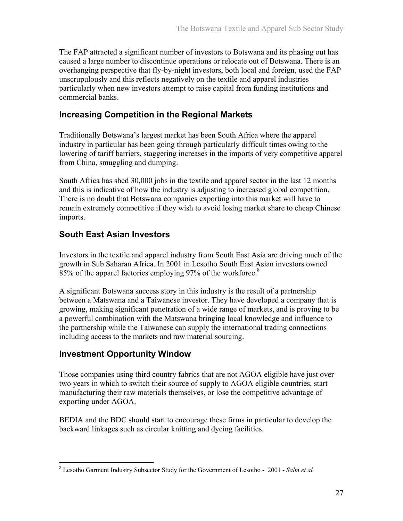The FAP attracted a significant number of investors to Botswana and its phasing out has caused a large number to discontinue operations or relocate out of Botswana. There is an overhanging perspective that fly-by-night investors, both local and foreign, used the FAP unscrupulously and this reflects negatively on the textile and apparel industries particularly when new investors attempt to raise capital from funding institutions and commercial banks.

#### **Increasing Competition in the Regional Markets**

Traditionally Botswana's largest market has been South Africa where the apparel industry in particular has been going through particularly difficult times owing to the lowering of tariff barriers, staggering increases in the imports of very competitive apparel from China, smuggling and dumping.

South Africa has shed 30,000 jobs in the textile and apparel sector in the last 12 months and this is indicative of how the industry is adjusting to increased global competition. There is no doubt that Botswana companies exporting into this market will have to remain extremely competitive if they wish to avoid losing market share to cheap Chinese imports.

#### **South East Asian Investors**

Investors in the textile and apparel industry from South East Asia are driving much of the growth in Sub Saharan Africa. In 2001 in Lesotho South East Asian investors owned 85% of the apparel factories employing 97% of the workforce.<sup>8</sup>

A significant Botswana success story in this industry is the result of a partnership between a Matswana and a Taiwanese investor. They have developed a company that is growing, making significant penetration of a wide range of markets, and is proving to be a powerful combination with the Matswana bringing local knowledge and influence to the partnership while the Taiwanese can supply the international trading connections including access to the markets and raw material sourcing.

#### **Investment Opportunity Window**

 $\overline{a}$ 

Those companies using third country fabrics that are not AGOA eligible have just over two years in which to switch their source of supply to AGOA eligible countries, start manufacturing their raw materials themselves, or lose the competitive advantage of exporting under AGOA.

BEDIA and the BDC should start to encourage these firms in particular to develop the backward linkages such as circular knitting and dyeing facilities.

<sup>8</sup> Lesotho Garment Industry Subsector Study for the Government of Lesotho - 2001 - *Salm et al.*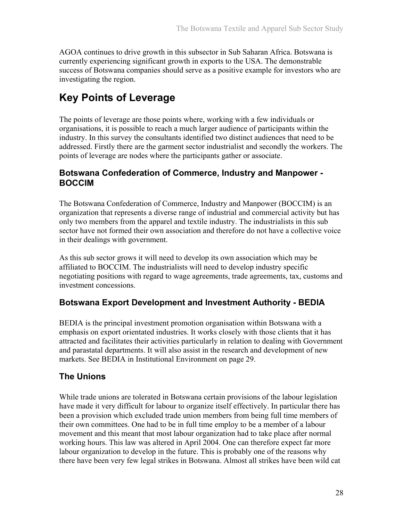AGOA continues to drive growth in this subsector in Sub Saharan Africa. Botswana is currently experiencing significant growth in exports to the USA. The demonstrable success of Botswana companies should serve as a positive example for investors who are investigating the region.

## **Key Points of Leverage**

The points of leverage are those points where, working with a few individuals or organisations, it is possible to reach a much larger audience of participants within the industry. In this survey the consultants identified two distinct audiences that need to be addressed. Firstly there are the garment sector industrialist and secondly the workers. The points of leverage are nodes where the participants gather or associate.

#### **Botswana Confederation of Commerce, Industry and Manpower - BOCCIM**

The Botswana Confederation of Commerce, Industry and Manpower (BOCCIM) is an organization that represents a diverse range of industrial and commercial activity but has only two members from the apparel and textile industry. The industrialists in this sub sector have not formed their own association and therefore do not have a collective voice in their dealings with government.

As this sub sector grows it will need to develop its own association which may be affiliated to BOCCIM. The industrialists will need to develop industry specific negotiating positions with regard to wage agreements, trade agreements, tax, customs and investment concessions.

#### **Botswana Export Development and Investment Authority - BEDIA**

BEDIA is the principal investment promotion organisation within Botswana with a emphasis on export orientated industries. It works closely with those clients that it has attracted and facilitates their activities particularly in relation to dealing with Government and parastatal departments. It will also assist in the research and development of new markets. See BEDIA in Institutional Environment on page 29.

#### **The Unions**

While trade unions are tolerated in Botswana certain provisions of the labour legislation have made it very difficult for labour to organize itself effectively. In particular there has been a provision which excluded trade union members from being full time members of their own committees. One had to be in full time employ to be a member of a labour movement and this meant that most labour organization had to take place after normal working hours. This law was altered in April 2004. One can therefore expect far more labour organization to develop in the future. This is probably one of the reasons why there have been very few legal strikes in Botswana. Almost all strikes have been wild cat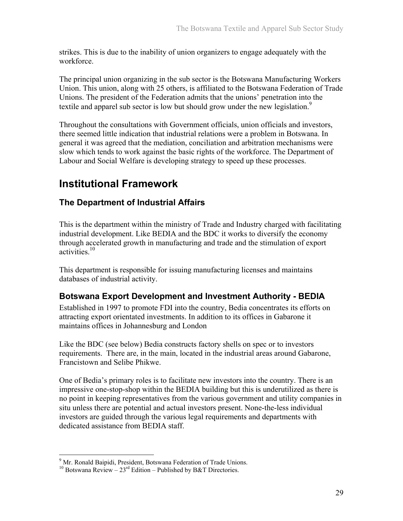strikes. This is due to the inability of union organizers to engage adequately with the workforce.

The principal union organizing in the sub sector is the Botswana Manufacturing Workers Union. This union, along with 25 others, is affiliated to the Botswana Federation of Trade Unions. The president of the Federation admits that the unions' penetration into the textile and apparel sub sector is low but should grow under the new legislation.<sup>9</sup>

Throughout the consultations with Government officials, union officials and investors, there seemed little indication that industrial relations were a problem in Botswana. In general it was agreed that the mediation, conciliation and arbitration mechanisms were slow which tends to work against the basic rights of the workforce. The Department of Labour and Social Welfare is developing strategy to speed up these processes.

## **Institutional Framework**

#### **The Department of Industrial Affairs**

This is the department within the ministry of Trade and Industry charged with facilitating industrial development. Like BEDIA and the BDC it works to diversify the economy through accelerated growth in manufacturing and trade and the stimulation of export activities.10

This department is responsible for issuing manufacturing licenses and maintains databases of industrial activity.

#### **Botswana Export Development and Investment Authority - BEDIA**

Established in 1997 to promote FDI into the country, Bedia concentrates its efforts on attracting export orientated investments. In addition to its offices in Gabarone it maintains offices in Johannesburg and London

Like the BDC (see below) Bedia constructs factory shells on spec or to investors requirements. There are, in the main, located in the industrial areas around Gabarone, Francistown and Selibe Phikwe.

One of Bedia's primary roles is to facilitate new investors into the country. There is an impressive one-stop-shop within the BEDIA building but this is underutilized as there is no point in keeping representatives from the various government and utility companies in situ unless there are potential and actual investors present. None-the-less individual investors are guided through the various legal requirements and departments with dedicated assistance from BEDIA staff.

 $\overline{a}$ 

<sup>&</sup>lt;sup>9</sup> Mr. Ronald Baipidi, President, Botswana Federation of Trade Unions.

<sup>&</sup>lt;sup>10</sup> Botswana Review –  $23<sup>rd</sup>$  Edition – Published by B&T Directories.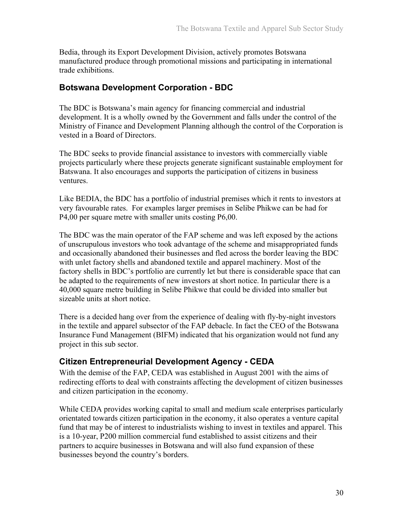Bedia, through its Export Development Division, actively promotes Botswana manufactured produce through promotional missions and participating in international trade exhibitions.

#### **Botswana Development Corporation - BDC**

The BDC is Botswana's main agency for financing commercial and industrial development. It is a wholly owned by the Government and falls under the control of the Ministry of Finance and Development Planning although the control of the Corporation is vested in a Board of Directors.

The BDC seeks to provide financial assistance to investors with commercially viable projects particularly where these projects generate significant sustainable employment for Batswana. It also encourages and supports the participation of citizens in business ventures.

Like BEDIA, the BDC has a portfolio of industrial premises which it rents to investors at very favourable rates. For examples larger premises in Selibe Phikwe can be had for P4,00 per square metre with smaller units costing P6,00.

The BDC was the main operator of the FAP scheme and was left exposed by the actions of unscrupulous investors who took advantage of the scheme and misappropriated funds and occasionally abandoned their businesses and fled across the border leaving the BDC with unlet factory shells and abandoned textile and apparel machinery. Most of the factory shells in BDC's portfolio are currently let but there is considerable space that can be adapted to the requirements of new investors at short notice. In particular there is a 40,000 square metre building in Selibe Phikwe that could be divided into smaller but sizeable units at short notice.

There is a decided hang over from the experience of dealing with fly-by-night investors in the textile and apparel subsector of the FAP debacle. In fact the CEO of the Botswana Insurance Fund Management (BIFM) indicated that his organization would not fund any project in this sub sector.

#### **Citizen Entrepreneurial Development Agency - CEDA**

With the demise of the FAP, CEDA was established in August 2001 with the aims of redirecting efforts to deal with constraints affecting the development of citizen businesses and citizen participation in the economy.

While CEDA provides working capital to small and medium scale enterprises particularly orientated towards citizen participation in the economy, it also operates a venture capital fund that may be of interest to industrialists wishing to invest in textiles and apparel. This is a 10-year, P200 million commercial fund established to assist citizens and their partners to acquire businesses in Botswana and will also fund expansion of these businesses beyond the country's borders.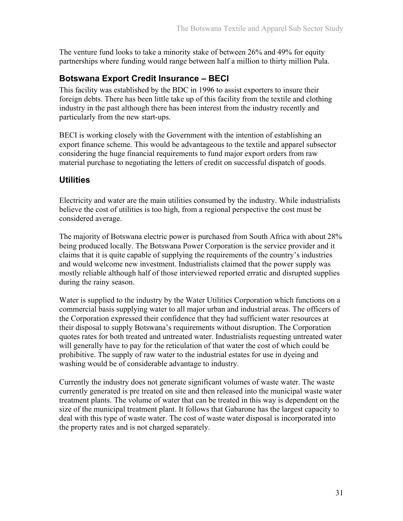The venture fund looks to take a minority stake of between 26% and 49% for equity partnerships where funding would range between half a million to thirty million Pula.

#### **Botswana Export Credit Insurance – BECI**

This facility was established by the BDC in 1996 to assist exporters to insure their foreign debts. There has been little take up of this facility from the textile and clothing industry in the past although there has been interest from the industry recently and particularly from the new start-ups.

BECI is working closely with the Government with the intention of establishing an export finance scheme. This would be advantageous to the textile and apparel subsector considering the huge financial requirements to fund major export orders from raw material purchase to negotiating the letters of credit on successful dispatch of goods.

#### **Utilities**

Electricity and water are the main utilities consumed by the industry. While industrialists believe the cost of utilities is too high, from a regional perspective the cost must be considered average.

The majority of Botswana electric power is purchased from South Africa with about 28% being produced locally. The Botswana Power Corporation is the service provider and it claims that it is quite capable of supplying the requirements of the country's industries and would welcome new investment. Industrialists claimed that the power supply was mostly reliable although half of those interviewed reported erratic and disrupted supplies during the rainy season.

Water is supplied to the industry by the Water Utilities Corporation which functions on a commercial basis supplying water to all major urban and industrial areas. The officers of the Corporation expressed their confidence that they had sufficient water resources at their disposal to supply Botswana's requirements without disruption. The Corporation quotes rates for both treated and untreated water. Industrialists requesting untreated water will generally have to pay for the reticulation of that water the cost of which could be prohibitive. The supply of raw water to the industrial estates for use in dyeing and washing would be of considerable advantage to industry.

Currently the industry does not generate significant volumes of waste water. The waste currently generated is pre treated on site and then released into the municipal waste water treatment plants. The volume of water that can be treated in this way is dependent on the size of the municipal treatment plant. It follows that Gabarone has the largest capacity to deal with this type of waste water. The cost of waste water disposal is incorporated into the property rates and is not charged separately.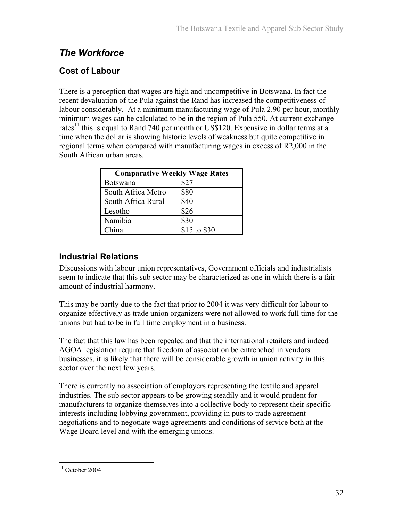## *The Workforce*

## **Cost of Labour**

There is a perception that wages are high and uncompetitive in Botswana. In fact the recent devaluation of the Pula against the Rand has increased the competitiveness of labour considerably. At a minimum manufacturing wage of Pula 2.90 per hour, monthly minimum wages can be calculated to be in the region of Pula 550. At current exchange rates<sup>11</sup> this is equal to Rand 740 per month or US\$120. Expensive in dollar terms at a time when the dollar is showing historic levels of weakness but quite competitive in regional terms when compared with manufacturing wages in excess of R2,000 in the South African urban areas.

| <b>Comparative Weekly Wage Rates</b> |              |  |  |  |
|--------------------------------------|--------------|--|--|--|
| Botswana                             | \$27         |  |  |  |
| South Africa Metro                   | \$80         |  |  |  |
| South Africa Rural                   | \$40         |  |  |  |
| Lesotho                              | \$26         |  |  |  |
| Namibia                              | \$30         |  |  |  |
| China                                | \$15 to \$30 |  |  |  |

### **Industrial Relations**

Discussions with labour union representatives, Government officials and industrialists seem to indicate that this sub sector may be characterized as one in which there is a fair amount of industrial harmony.

This may be partly due to the fact that prior to 2004 it was very difficult for labour to organize effectively as trade union organizers were not allowed to work full time for the unions but had to be in full time employment in a business.

The fact that this law has been repealed and that the international retailers and indeed AGOA legislation require that freedom of association be entrenched in vendors businesses, it is likely that there will be considerable growth in union activity in this sector over the next few years.

There is currently no association of employers representing the textile and apparel industries. The sub sector appears to be growing steadily and it would prudent for manufacturers to organize themselves into a collective body to represent their specific interests including lobbying government, providing in puts to trade agreement negotiations and to negotiate wage agreements and conditions of service both at the Wage Board level and with the emerging unions.

<sup>&</sup>lt;u>.</u>  $11$  October 2004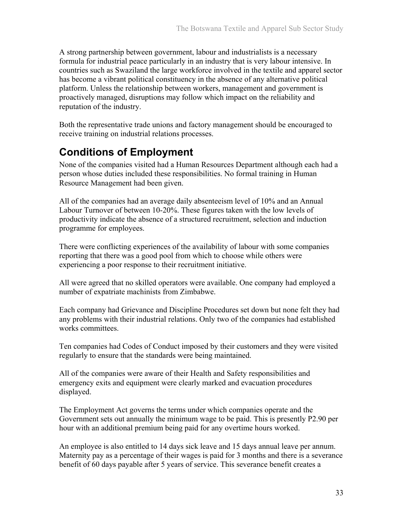A strong partnership between government, labour and industrialists is a necessary formula for industrial peace particularly in an industry that is very labour intensive. In countries such as Swaziland the large workforce involved in the textile and apparel sector has become a vibrant political constituency in the absence of any alternative political platform. Unless the relationship between workers, management and government is proactively managed, disruptions may follow which impact on the reliability and reputation of the industry.

Both the representative trade unions and factory management should be encouraged to receive training on industrial relations processes.

## **Conditions of Employment**

None of the companies visited had a Human Resources Department although each had a person whose duties included these responsibilities. No formal training in Human Resource Management had been given.

All of the companies had an average daily absenteeism level of 10% and an Annual Labour Turnover of between 10-20%. These figures taken with the low levels of productivity indicate the absence of a structured recruitment, selection and induction programme for employees.

There were conflicting experiences of the availability of labour with some companies reporting that there was a good pool from which to choose while others were experiencing a poor response to their recruitment initiative.

All were agreed that no skilled operators were available. One company had employed a number of expatriate machinists from Zimbabwe.

Each company had Grievance and Discipline Procedures set down but none felt they had any problems with their industrial relations. Only two of the companies had established works committees.

Ten companies had Codes of Conduct imposed by their customers and they were visited regularly to ensure that the standards were being maintained.

All of the companies were aware of their Health and Safety responsibilities and emergency exits and equipment were clearly marked and evacuation procedures displayed.

The Employment Act governs the terms under which companies operate and the Government sets out annually the minimum wage to be paid. This is presently P2.90 per hour with an additional premium being paid for any overtime hours worked.

An employee is also entitled to 14 days sick leave and 15 days annual leave per annum. Maternity pay as a percentage of their wages is paid for 3 months and there is a severance benefit of 60 days payable after 5 years of service. This severance benefit creates a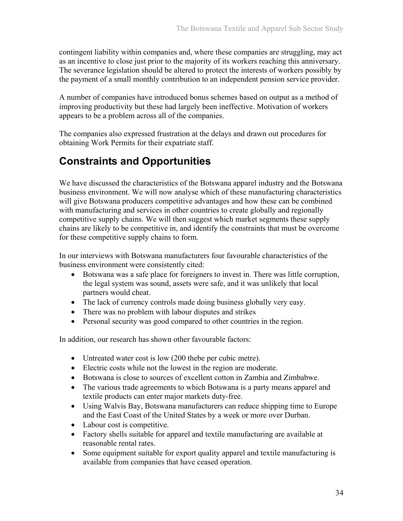contingent liability within companies and, where these companies are struggling, may act as an incentive to close just prior to the majority of its workers reaching this anniversary. The severance legislation should be altered to protect the interests of workers possibly by the payment of a small monthly contribution to an independent pension service provider.

A number of companies have introduced bonus schemes based on output as a method of improving productivity but these had largely been ineffective. Motivation of workers appears to be a problem across all of the companies.

The companies also expressed frustration at the delays and drawn out procedures for obtaining Work Permits for their expatriate staff.

## **Constraints and Opportunities**

We have discussed the characteristics of the Botswana apparel industry and the Botswana business environment. We will now analyse which of these manufacturing characteristics will give Botswana producers competitive advantages and how these can be combined with manufacturing and services in other countries to create globally and regionally competitive supply chains. We will then suggest which market segments these supply chains are likely to be competitive in, and identify the constraints that must be overcome for these competitive supply chains to form.

In our interviews with Botswana manufacturers four favourable characteristics of the business environment were consistently cited:

- Botswana was a safe place for foreigners to invest in. There was little corruption, the legal system was sound, assets were safe, and it was unlikely that local partners would cheat.
- The lack of currency controls made doing business globally very easy.
- There was no problem with labour disputes and strikes
- Personal security was good compared to other countries in the region.

In addition, our research has shown other favourable factors:

- Untreated water cost is low (200 thebe per cubic metre).
- Electric costs while not the lowest in the region are moderate.
- Botswana is close to sources of excellent cotton in Zambia and Zimbabwe.
- The various trade agreements to which Botswana is a party means apparel and textile products can enter major markets duty-free.
- Using Walvis Bay, Botswana manufacturers can reduce shipping time to Europe and the East Coast of the United States by a week or more over Durban.
- Labour cost is competitive.
- Factory shells suitable for apparel and textile manufacturing are available at reasonable rental rates.
- Some equipment suitable for export quality apparel and textile manufacturing is available from companies that have ceased operation.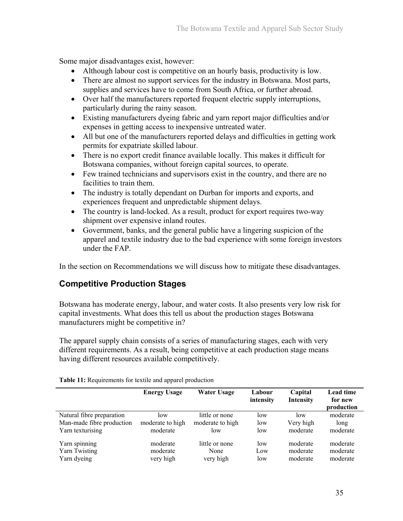Some major disadvantages exist, however:

- Although labour cost is competitive on an hourly basis, productivity is low.
- There are almost no support services for the industry in Botswana. Most parts, supplies and services have to come from South Africa, or further abroad.
- Over half the manufacturers reported frequent electric supply interruptions, particularly during the rainy season.
- Existing manufacturers dyeing fabric and yarn report major difficulties and/or expenses in getting access to inexpensive untreated water.
- All but one of the manufacturers reported delays and difficulties in getting work permits for expatriate skilled labour.
- There is no export credit finance available locally. This makes it difficult for Botswana companies, without foreign capital sources, to operate.
- Few trained technicians and supervisors exist in the country, and there are no facilities to train them.
- The industry is totally dependant on Durban for imports and exports, and experiences frequent and unpredictable shipment delays.
- The country is land-locked. As a result, product for export requires two-way shipment over expensive inland routes.
- Government, banks, and the general public have a lingering suspicion of the apparel and textile industry due to the bad experience with some foreign investors under the FAP.

In the section on Recommendations we will discuss how to mitigate these disadvantages.

### **Competitive Production Stages**

Botswana has moderate energy, labour, and water costs. It also presents very low risk for capital investments. What does this tell us about the production stages Botswana manufacturers might be competitive in?

The apparel supply chain consists of a series of manufacturing stages, each with very different requirements. As a result, being competitive at each production stage means having different resources available competitively.

|                           | <b>Energy Usage</b> | <b>Water Usage</b> | Labour<br>intensity | Capital<br>Intensity | Lead time<br>for new<br>production |
|---------------------------|---------------------|--------------------|---------------------|----------------------|------------------------------------|
| Natural fibre preparation | low                 | little or none     | low                 | low                  | moderate                           |
| Man-made fibre production | moderate to high    | moderate to high   | low                 | Very high            | long                               |
| Yarn texturising          | moderate            | low                | low                 | moderate             | moderate                           |
| Yarn spinning             | moderate            | little or none     | low                 | moderate             | moderate                           |
| Yarn Twisting             | moderate            | None               | Low                 | moderate             | moderate                           |
| Yarn dyeing               | very high           | very high          | low                 | moderate             | moderate                           |

**Table 11:** Requirements for textile and apparel production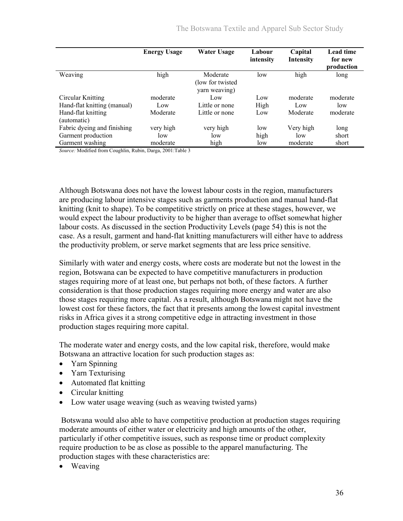|                                   | <b>Energy Usage</b> | <b>Water Usage</b>                             | Labour<br>intensity | Capital<br><b>Intensity</b> | <b>Lead time</b><br>for new<br>production |
|-----------------------------------|---------------------|------------------------------------------------|---------------------|-----------------------------|-------------------------------------------|
| Weaving                           | high                | Moderate<br>(low for twisted)<br>yarn weaving) | low                 | high                        | long                                      |
| Circular Knitting                 | moderate            | Low                                            | Low                 | moderate                    | moderate                                  |
| Hand-flat knitting (manual)       | Low                 | Little or none                                 | High                | L <sub>ow</sub>             | low                                       |
| Hand-flat knitting<br>(automatic) | Moderate            | Little or none                                 | Low                 | Moderate                    | moderate                                  |
| Fabric dyeing and finishing       | very high           | very high                                      | low                 | Very high                   | long                                      |
| Garment production                | low                 | low                                            | high                | low                         | short                                     |
| Garment washing                   | moderate            | high                                           | low                 | moderate                    | short                                     |

*Source:* Modified from Coughlin, Rubin, Darga, 2001:Table 3

Although Botswana does not have the lowest labour costs in the region, manufacturers are producing labour intensive stages such as garments production and manual hand-flat knitting (knit to shape). To be competitive strictly on price at these stages, however, we would expect the labour productivity to be higher than average to offset somewhat higher labour costs. As discussed in the section Productivity Levels (page 54) this is not the case. As a result, garment and hand-flat knitting manufacturers will either have to address the productivity problem, or serve market segments that are less price sensitive.

Similarly with water and energy costs, where costs are moderate but not the lowest in the region, Botswana can be expected to have competitive manufacturers in production stages requiring more of at least one, but perhaps not both, of these factors. A further consideration is that those production stages requiring more energy and water are also those stages requiring more capital. As a result, although Botswana might not have the lowest cost for these factors, the fact that it presents among the lowest capital investment risks in Africa gives it a strong competitive edge in attracting investment in those production stages requiring more capital.

The moderate water and energy costs, and the low capital risk, therefore, would make Botswana an attractive location for such production stages as:

- Yarn Spinning
- Yarn Texturising
- Automated flat knitting
- Circular knitting
- Low water usage weaving (such as weaving twisted yarns)

 Botswana would also able to have competitive production at production stages requiring moderate amounts of either water or electricity and high amounts of the other, particularly if other competitive issues, such as response time or product complexity require production to be as close as possible to the apparel manufacturing. The production stages with these characteristics are:

• Weaving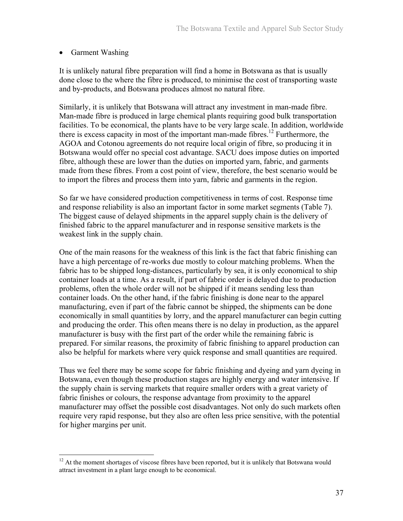### • Garment Washing

1

It is unlikely natural fibre preparation will find a home in Botswana as that is usually done close to the where the fibre is produced, to minimise the cost of transporting waste and by-products, and Botswana produces almost no natural fibre.

Similarly, it is unlikely that Botswana will attract any investment in man-made fibre. Man-made fibre is produced in large chemical plants requiring good bulk transportation facilities. To be economical, the plants have to be very large scale. In addition, worldwide there is excess capacity in most of the important man-made fibres.<sup>12</sup> Furthermore, the AGOA and Cotonou agreements do not require local origin of fibre, so producing it in Botswana would offer no special cost advantage. SACU does impose duties on imported fibre, although these are lower than the duties on imported yarn, fabric, and garments made from these fibres. From a cost point of view, therefore, the best scenario would be to import the fibres and process them into yarn, fabric and garments in the region.

So far we have considered production competitiveness in terms of cost. Response time and response reliability is also an important factor in some market segments (Table 7). The biggest cause of delayed shipments in the apparel supply chain is the delivery of finished fabric to the apparel manufacturer and in response sensitive markets is the weakest link in the supply chain.

One of the main reasons for the weakness of this link is the fact that fabric finishing can have a high percentage of re-works due mostly to colour matching problems. When the fabric has to be shipped long-distances, particularly by sea, it is only economical to ship container loads at a time. As a result, if part of fabric order is delayed due to production problems, often the whole order will not be shipped if it means sending less than container loads. On the other hand, if the fabric finishing is done near to the apparel manufacturing, even if part of the fabric cannot be shipped, the shipments can be done economically in small quantities by lorry, and the apparel manufacturer can begin cutting and producing the order. This often means there is no delay in production, as the apparel manufacturer is busy with the first part of the order while the remaining fabric is prepared. For similar reasons, the proximity of fabric finishing to apparel production can also be helpful for markets where very quick response and small quantities are required.

Thus we feel there may be some scope for fabric finishing and dyeing and yarn dyeing in Botswana, even though these production stages are highly energy and water intensive. If the supply chain is serving markets that require smaller orders with a great variety of fabric finishes or colours, the response advantage from proximity to the apparel manufacturer may offset the possible cost disadvantages. Not only do such markets often require very rapid response, but they also are often less price sensitive, with the potential for higher margins per unit.

 $12$  At the moment shortages of viscose fibres have been reported, but it is unlikely that Botswana would attract investment in a plant large enough to be economical.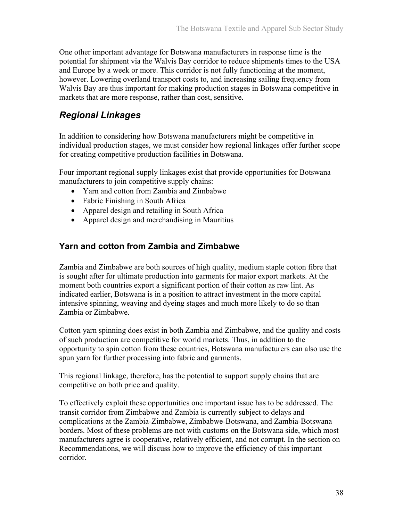One other important advantage for Botswana manufacturers in response time is the potential for shipment via the Walvis Bay corridor to reduce shipments times to the USA and Europe by a week or more. This corridor is not fully functioning at the moment, however. Lowering overland transport costs to, and increasing sailing frequency from Walvis Bay are thus important for making production stages in Botswana competitive in markets that are more response, rather than cost, sensitive.

## *Regional Linkages*

In addition to considering how Botswana manufacturers might be competitive in individual production stages, we must consider how regional linkages offer further scope for creating competitive production facilities in Botswana.

Four important regional supply linkages exist that provide opportunities for Botswana manufacturers to join competitive supply chains:

- Yarn and cotton from Zambia and Zimbabwe
- Fabric Finishing in South Africa
- Apparel design and retailing in South Africa
- Apparel design and merchandising in Mauritius

### **Yarn and cotton from Zambia and Zimbabwe**

Zambia and Zimbabwe are both sources of high quality, medium staple cotton fibre that is sought after for ultimate production into garments for major export markets. At the moment both countries export a significant portion of their cotton as raw lint. As indicated earlier, Botswana is in a position to attract investment in the more capital intensive spinning, weaving and dyeing stages and much more likely to do so than Zambia or Zimbabwe.

Cotton yarn spinning does exist in both Zambia and Zimbabwe, and the quality and costs of such production are competitive for world markets. Thus, in addition to the opportunity to spin cotton from these countries, Botswana manufacturers can also use the spun yarn for further processing into fabric and garments.

This regional linkage, therefore, has the potential to support supply chains that are competitive on both price and quality.

To effectively exploit these opportunities one important issue has to be addressed. The transit corridor from Zimbabwe and Zambia is currently subject to delays and complications at the Zambia-Zimbabwe, Zimbabwe-Botswana, and Zambia-Botswana borders. Most of these problems are not with customs on the Botswana side, which most manufacturers agree is cooperative, relatively efficient, and not corrupt. In the section on Recommendations, we will discuss how to improve the efficiency of this important corridor.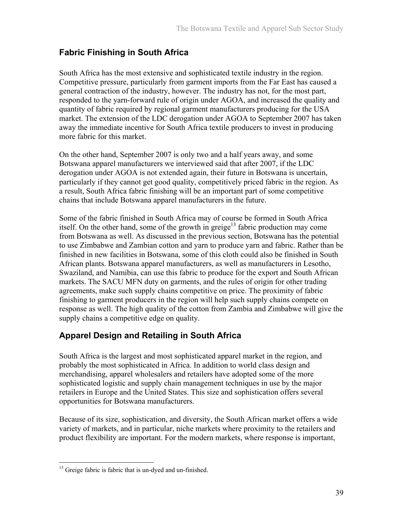## **Fabric Finishing in South Africa**

South Africa has the most extensive and sophisticated textile industry in the region. Competitive pressure, particularly from garment imports from the Far East has caused a general contraction of the industry, however. The industry has not, for the most part, responded to the yarn-forward rule of origin under AGOA, and increased the quality and quantity of fabric required by regional garment manufacturers producing for the USA market. The extension of the LDC derogation under AGOA to September 2007 has taken away the immediate incentive for South Africa textile producers to invest in producing more fabric for this market.

On the other hand, September 2007 is only two and a half years away, and some Botswana apparel manufacturers we interviewed said that after 2007, if the LDC derogation under AGOA is not extended again, their future in Botswana is uncertain, particularly if they cannot get good quality, competitively priced fabric in the region. As a result, South Africa fabric finishing will be an important part of some competitive chains that include Botswana apparel manufacturers in the future.

Some of the fabric finished in South Africa may of course be formed in South Africa itself. On the other hand, some of the growth in greige<sup>13</sup> fabric production may come from Botswana as well. As discussed in the previous section, Botswana has the potential to use Zimbabwe and Zambian cotton and yarn to produce yarn and fabric. Rather than be finished in new facilities in Botswana, some of this cloth could also be finished in South African plants. Botswana apparel manufacturers, as well as manufacturers in Lesotho, Swaziland, and Namibia, can use this fabric to produce for the export and South African markets. The SACU MFN duty on garments, and the rules of origin for other trading agreements, make such supply chains competitive on price. The proximity of fabric finishing to garment producers in the region will help such supply chains compete on response as well. The high quality of the cotton from Zambia and Zimbabwe will give the supply chains a competitive edge on quality.

## **Apparel Design and Retailing in South Africa**

South Africa is the largest and most sophisticated apparel market in the region, and probably the most sophisticated in Africa. In addition to world class design and merchandising, apparel wholesalers and retailers have adopted some of the more sophisticated logistic and supply chain management techniques in use by the major retailers in Europe and the United States. This size and sophistication offers several opportunities for Botswana manufacturers.

Because of its size, sophistication, and diversity, the South African market offers a wide variety of markets, and in particular, niche markets where proximity to the retailers and product flexibility are important. For the modern markets, where response is important,

 $\overline{a}$ <sup>13</sup> Greige fabric is fabric that is un-dyed and un-finished.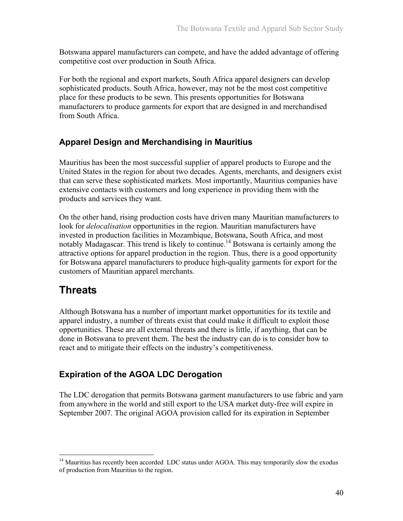Botswana apparel manufacturers can compete, and have the added advantage of offering competitive cost over production in South Africa.

For both the regional and export markets, South Africa apparel designers can develop sophisticated products. South Africa, however, may not be the most cost competitive place for these products to be sewn. This presents opportunities for Botswana manufacturers to produce garments for export that are designed in and merchandised from South Africa.

### **Apparel Design and Merchandising in Mauritius**

Mauritius has been the most successful supplier of apparel products to Europe and the United States in the region for about two decades. Agents, merchants, and designers exist that can serve these sophisticated markets. Most importantly, Mauritius companies have extensive contacts with customers and long experience in providing them with the products and services they want.

On the other hand, rising production costs have driven many Mauritian manufacturers to look for *delocalisation* opportunities in the region. Mauritian manufacturers have invested in production facilities in Mozambique, Botswana, South Africa, and most notably Madagascar. This trend is likely to continue.<sup>14</sup> Botswana is certainly among the attractive options for apparel production in the region. Thus, there is a good opportunity for Botswana apparel manufacturers to produce high-quality garments for export for the customers of Mauritian apparel merchants.

# **Threats**

 $\overline{a}$ 

Although Botswana has a number of important market opportunities for its textile and apparel industry, a number of threats exist that could make it difficult to exploit those opportunities. These are all external threats and there is little, if anything, that can be done in Botswana to prevent them. The best the industry can do is to consider how to react and to mitigate their effects on the industry's competitiveness.

## **Expiration of the AGOA LDC Derogation**

The LDC derogation that permits Botswana garment manufacturers to use fabric and yarn from anywhere in the world and still export to the USA market duty-free will expire in September 2007. The original AGOA provision called for its expiration in September

 $14$  Mauritius has recently been accorded LDC status under AGOA. This may temporarily slow the exodus of production from Mauritius to the region.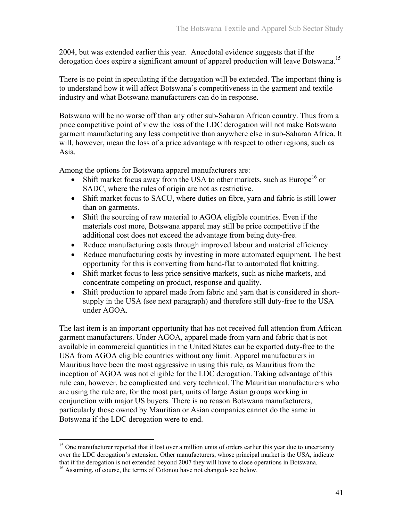2004, but was extended earlier this year. Anecdotal evidence suggests that if the derogation does expire a significant amount of apparel production will leave Botswana.<sup>15</sup>

There is no point in speculating if the derogation will be extended. The important thing is to understand how it will affect Botswana's competitiveness in the garment and textile industry and what Botswana manufacturers can do in response.

Botswana will be no worse off than any other sub-Saharan African country. Thus from a price competitive point of view the loss of the LDC derogation will not make Botswana garment manufacturing any less competitive than anywhere else in sub-Saharan Africa. It will, however, mean the loss of a price advantage with respect to other regions, such as Asia.

Among the options for Botswana apparel manufacturers are:

- Shift market focus away from the USA to other markets, such as Europe<sup>16</sup> or SADC, where the rules of origin are not as restrictive.
- Shift market focus to SACU, where duties on fibre, yarn and fabric is still lower than on garments.
- Shift the sourcing of raw material to AGOA eligible countries. Even if the materials cost more, Botswana apparel may still be price competitive if the additional cost does not exceed the advantage from being duty-free.
- Reduce manufacturing costs through improved labour and material efficiency.
- Reduce manufacturing costs by investing in more automated equipment. The best opportunity for this is converting from hand-flat to automated flat knitting.
- Shift market focus to less price sensitive markets, such as niche markets, and concentrate competing on product, response and quality.
- Shift production to apparel made from fabric and yarn that is considered in shortsupply in the USA (see next paragraph) and therefore still duty-free to the USA under AGOA.

The last item is an important opportunity that has not received full attention from African garment manufacturers. Under AGOA, apparel made from yarn and fabric that is not available in commercial quantities in the United States can be exported duty-free to the USA from AGOA eligible countries without any limit. Apparel manufacturers in Mauritius have been the most aggressive in using this rule, as Mauritius from the inception of AGOA was not eligible for the LDC derogation. Taking advantage of this rule can, however, be complicated and very technical. The Mauritian manufacturers who are using the rule are, for the most part, units of large Asian groups working in conjunction with major US buyers. There is no reason Botswana manufacturers, particularly those owned by Mauritian or Asian companies cannot do the same in Botswana if the LDC derogation were to end.

 $\overline{a}$ 

<sup>&</sup>lt;sup>15</sup> One manufacturer reported that it lost over a million units of orders earlier this year due to uncertainty over the LDC derogation's extension. Other manufacturers, whose principal market is the USA, indicate that if the derogation is not extended beyond 2007 they will have to close operations in Botswana.

<sup>&</sup>lt;sup>16</sup> Assuming, of course, the terms of Cotonou have not changed- see below.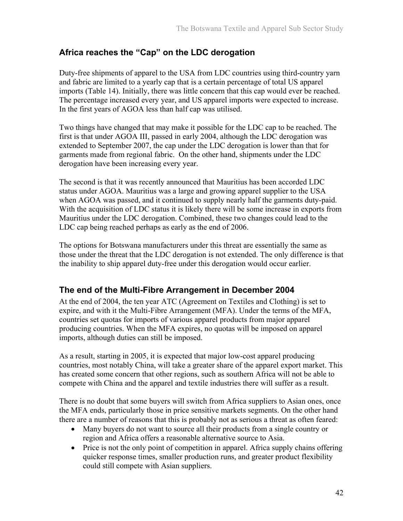### **Africa reaches the "Cap" on the LDC derogation**

Duty-free shipments of apparel to the USA from LDC countries using third-country yarn and fabric are limited to a yearly cap that is a certain percentage of total US apparel imports (Table 14). Initially, there was little concern that this cap would ever be reached. The percentage increased every year, and US apparel imports were expected to increase. In the first years of AGOA less than half cap was utilised.

Two things have changed that may make it possible for the LDC cap to be reached. The first is that under AGOA III, passed in early 2004, although the LDC derogation was extended to September 2007, the cap under the LDC derogation is lower than that for garments made from regional fabric. On the other hand, shipments under the LDC derogation have been increasing every year.

The second is that it was recently announced that Mauritius has been accorded LDC status under AGOA. Mauritius was a large and growing apparel supplier to the USA when AGOA was passed, and it continued to supply nearly half the garments duty-paid. With the acquisition of LDC status it is likely there will be some increase in exports from Mauritius under the LDC derogation. Combined, these two changes could lead to the LDC cap being reached perhaps as early as the end of 2006.

The options for Botswana manufacturers under this threat are essentially the same as those under the threat that the LDC derogation is not extended. The only difference is that the inability to ship apparel duty-free under this derogation would occur earlier.

### **The end of the Multi-Fibre Arrangement in December 2004**

At the end of 2004, the ten year ATC (Agreement on Textiles and Clothing) is set to expire, and with it the Multi-Fibre Arrangement (MFA). Under the terms of the MFA, countries set quotas for imports of various apparel products from major apparel producing countries. When the MFA expires, no quotas will be imposed on apparel imports, although duties can still be imposed.

As a result, starting in 2005, it is expected that major low-cost apparel producing countries, most notably China, will take a greater share of the apparel export market. This has created some concern that other regions, such as southern Africa will not be able to compete with China and the apparel and textile industries there will suffer as a result.

There is no doubt that some buyers will switch from Africa suppliers to Asian ones, once the MFA ends, particularly those in price sensitive markets segments. On the other hand there are a number of reasons that this is probably not as serious a threat as often feared:

- Many buyers do not want to source all their products from a single country or region and Africa offers a reasonable alternative source to Asia.
- Price is not the only point of competition in apparel. Africa supply chains offering quicker response times, smaller production runs, and greater product flexibility could still compete with Asian suppliers.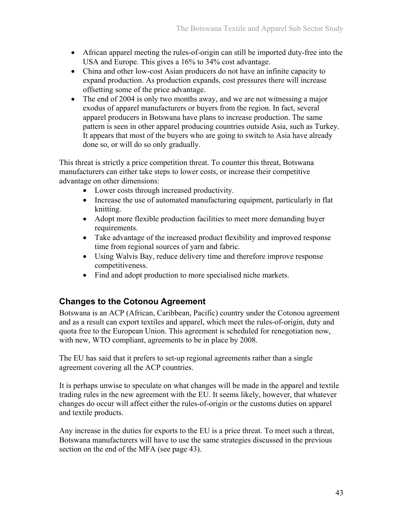- African apparel meeting the rules-of-origin can still be imported duty-free into the USA and Europe. This gives a 16% to 34% cost advantage.
- China and other low-cost Asian producers do not have an infinite capacity to expand production. As production expands, cost pressures there will increase offsetting some of the price advantage.
- The end of 2004 is only two months away, and we are not witnessing a major exodus of apparel manufacturers or buyers from the region. In fact, several apparel producers in Botswana have plans to increase production. The same pattern is seen in other apparel producing countries outside Asia, such as Turkey. It appears that most of the buyers who are going to switch to Asia have already done so, or will do so only gradually.

This threat is strictly a price competition threat. To counter this threat, Botswana manufacturers can either take steps to lower costs, or increase their competitive advantage on other dimensions:

- Lower costs through increased productivity.
- Increase the use of automated manufacturing equipment, particularly in flat knitting.
- Adopt more flexible production facilities to meet more demanding buyer requirements.
- Take advantage of the increased product flexibility and improved response time from regional sources of yarn and fabric.
- Using Walvis Bay, reduce delivery time and therefore improve response competitiveness.
- Find and adopt production to more specialised niche markets.

## **Changes to the Cotonou Agreement**

Botswana is an ACP (African, Caribbean, Pacific) country under the Cotonou agreement and as a result can export textiles and apparel, which meet the rules-of-origin, duty and quota free to the European Union. This agreement is scheduled for renegotiation now, with new, WTO compliant, agreements to be in place by 2008.

The EU has said that it prefers to set-up regional agreements rather than a single agreement covering all the ACP countries.

It is perhaps unwise to speculate on what changes will be made in the apparel and textile trading rules in the new agreement with the EU. It seems likely, however, that whatever changes do occur will affect either the rules-of-origin or the customs duties on apparel and textile products.

Any increase in the duties for exports to the EU is a price threat. To meet such a threat, Botswana manufacturers will have to use the same strategies discussed in the previous section on the end of the MFA (see page 43).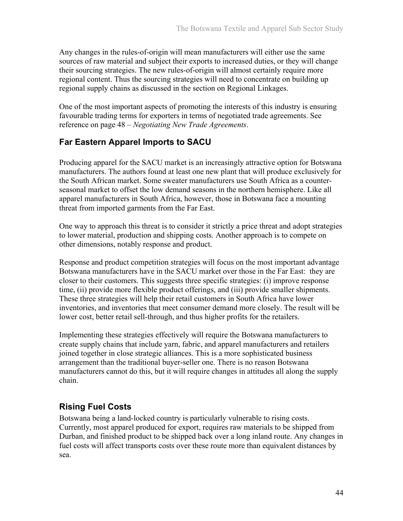Any changes in the rules-of-origin will mean manufacturers will either use the same sources of raw material and subject their exports to increased duties, or they will change their sourcing strategies. The new rules-of-origin will almost certainly require more regional content. Thus the sourcing strategies will need to concentrate on building up regional supply chains as discussed in the section on Regional Linkages.

One of the most important aspects of promoting the interests of this industry is ensuring favourable trading terms for exporters in terms of negotiated trade agreements. See reference on page 48 – *Negotiating New Trade Agreements*.

### **Far Eastern Apparel Imports to SACU**

Producing apparel for the SACU market is an increasingly attractive option for Botswana manufacturers. The authors found at least one new plant that will produce exclusively for the South African market. Some sweater manufacturers use South Africa as a counterseasonal market to offset the low demand seasons in the northern hemisphere. Like all apparel manufacturers in South Africa, however, those in Botswana face a mounting threat from imported garments from the Far East.

One way to approach this threat is to consider it strictly a price threat and adopt strategies to lower material, production and shipping costs. Another approach is to compete on other dimensions, notably response and product.

Response and product competition strategies will focus on the most important advantage Botswana manufacturers have in the SACU market over those in the Far East: they are closer to their customers. This suggests three specific strategies: (i) improve response time, (ii) provide more flexible product offerings, and (iii) provide smaller shipments. These three strategies will help their retail customers in South Africa have lower inventories, and inventories that meet consumer demand more closely. The result will be lower cost, better retail sell-through, and thus higher profits for the retailers.

Implementing these strategies effectively will require the Botswana manufacturers to create supply chains that include yarn, fabric, and apparel manufacturers and retailers joined together in close strategic alliances. This is a more sophisticated business arrangement than the traditional buyer-seller one. There is no reason Botswana manufacturers cannot do this, but it will require changes in attitudes all along the supply chain.

## **Rising Fuel Costs**

Botswana being a land-locked country is particularly vulnerable to rising costs. Currently, most apparel produced for export, requires raw materials to be shipped from Durban, and finished product to be shipped back over a long inland route. Any changes in fuel costs will affect transports costs over these route more than equivalent distances by sea.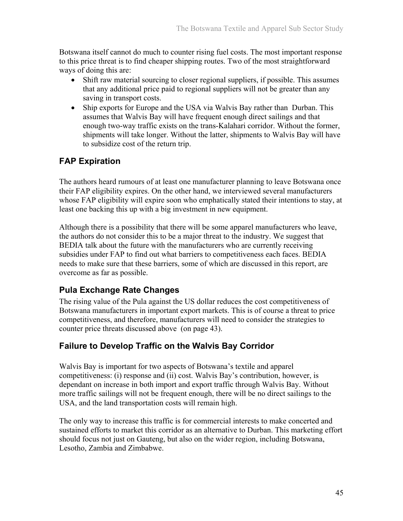Botswana itself cannot do much to counter rising fuel costs. The most important response to this price threat is to find cheaper shipping routes. Two of the most straightforward ways of doing this are:

- Shift raw material sourcing to closer regional suppliers, if possible. This assumes that any additional price paid to regional suppliers will not be greater than any saving in transport costs.
- Ship exports for Europe and the USA via Walvis Bay rather than Durban. This assumes that Walvis Bay will have frequent enough direct sailings and that enough two-way traffic exists on the trans-Kalahari corridor. Without the former, shipments will take longer. Without the latter, shipments to Walvis Bay will have to subsidize cost of the return trip.

### **FAP Expiration**

The authors heard rumours of at least one manufacturer planning to leave Botswana once their FAP eligibility expires. On the other hand, we interviewed several manufacturers whose FAP eligibility will expire soon who emphatically stated their intentions to stay, at least one backing this up with a big investment in new equipment.

Although there is a possibility that there will be some apparel manufacturers who leave, the authors do not consider this to be a major threat to the industry. We suggest that BEDIA talk about the future with the manufacturers who are currently receiving subsidies under FAP to find out what barriers to competitiveness each faces. BEDIA needs to make sure that these barriers, some of which are discussed in this report, are overcome as far as possible.

## **Pula Exchange Rate Changes**

The rising value of the Pula against the US dollar reduces the cost competitiveness of Botswana manufacturers in important export markets. This is of course a threat to price competitiveness, and therefore, manufacturers will need to consider the strategies to counter price threats discussed above (on page 43).

### **Failure to Develop Traffic on the Walvis Bay Corridor**

Walvis Bay is important for two aspects of Botswana's textile and apparel competitiveness: (i) response and (ii) cost. Walvis Bay's contribution, however, is dependant on increase in both import and export traffic through Walvis Bay. Without more traffic sailings will not be frequent enough, there will be no direct sailings to the USA, and the land transportation costs will remain high.

The only way to increase this traffic is for commercial interests to make concerted and sustained efforts to market this corridor as an alternative to Durban. This marketing effort should focus not just on Gauteng, but also on the wider region, including Botswana, Lesotho, Zambia and Zimbabwe.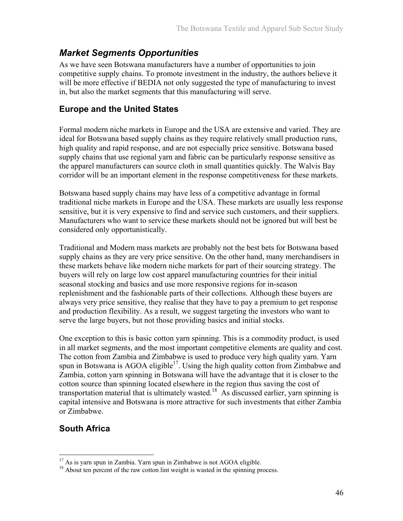## *Market Segments Opportunities*

As we have seen Botswana manufacturers have a number of opportunities to join competitive supply chains. To promote investment in the industry, the authors believe it will be more effective if BEDIA not only suggested the type of manufacturing to invest in, but also the market segments that this manufacturing will serve.

### **Europe and the United States**

Formal modern niche markets in Europe and the USA are extensive and varied. They are ideal for Botswana based supply chains as they require relatively small production runs, high quality and rapid response, and are not especially price sensitive. Botswana based supply chains that use regional yarn and fabric can be particularly response sensitive as the apparel manufacturers can source cloth in small quantities quickly. The Walvis Bay corridor will be an important element in the response competitiveness for these markets.

Botswana based supply chains may have less of a competitive advantage in formal traditional niche markets in Europe and the USA. These markets are usually less response sensitive, but it is very expensive to find and service such customers, and their suppliers. Manufacturers who want to service these markets should not be ignored but will best be considered only opportunistically.

Traditional and Modern mass markets are probably not the best bets for Botswana based supply chains as they are very price sensitive. On the other hand, many merchandisers in these markets behave like modern niche markets for part of their sourcing strategy. The buyers will rely on large low cost apparel manufacturing countries for their initial seasonal stocking and basics and use more responsive regions for in-season replenishment and the fashionable parts of their collections. Although these buyers are always very price sensitive, they realise that they have to pay a premium to get response and production flexibility. As a result, we suggest targeting the investors who want to serve the large buyers, but not those providing basics and initial stocks.

One exception to this is basic cotton yarn spinning. This is a commodity product, is used in all market segments, and the most important competitive elements are quality and cost. The cotton from Zambia and Zimbabwe is used to produce very high quality yarn. Yarn spun in Botswana is AGOA eligible<sup>17</sup>. Using the high quality cotton from Zimbabwe and Zambia, cotton yarn spinning in Botswana will have the advantage that it is closer to the cotton source than spinning located elsewhere in the region thus saving the cost of transportation material that is ultimately wasted.<sup>18</sup> As discussed earlier, yarn spinning is capital intensive and Botswana is more attractive for such investments that either Zambia or Zimbabwe.

## **South Africa**

 $\overline{a}$ 

 $17$  As is yarn spun in Zambia. Yarn spun in Zimbabwe is not AGOA eligible.

<sup>&</sup>lt;sup>18</sup> About ten percent of the raw cotton lint weight is wasted in the spinning process.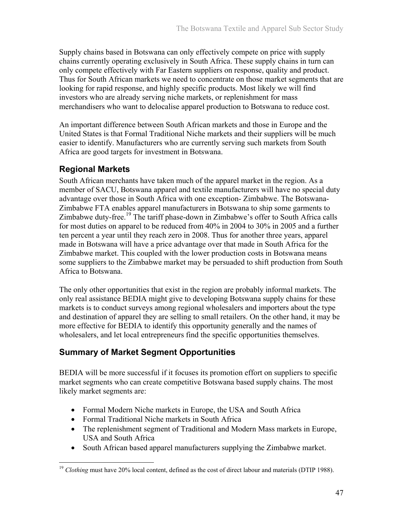Supply chains based in Botswana can only effectively compete on price with supply chains currently operating exclusively in South Africa. These supply chains in turn can only compete effectively with Far Eastern suppliers on response, quality and product. Thus for South African markets we need to concentrate on those market segments that are looking for rapid response, and highly specific products. Most likely we will find investors who are already serving niche markets, or replenishment for mass merchandisers who want to delocalise apparel production to Botswana to reduce cost.

An important difference between South African markets and those in Europe and the United States is that Formal Traditional Niche markets and their suppliers will be much easier to identify. Manufacturers who are currently serving such markets from South Africa are good targets for investment in Botswana.

## **Regional Markets**

South African merchants have taken much of the apparel market in the region. As a member of SACU, Botswana apparel and textile manufacturers will have no special duty advantage over those in South Africa with one exception- Zimbabwe. The Botswana-Zimbabwe FTA enables apparel manufacturers in Botswana to ship some garments to Zimbabwe duty-free.<sup>19</sup> The tariff phase-down in Zimbabwe's offer to South Africa calls for most duties on apparel to be reduced from 40% in 2004 to 30% in 2005 and a further ten percent a year until they reach zero in 2008. Thus for another three years, apparel made in Botswana will have a price advantage over that made in South Africa for the Zimbabwe market. This coupled with the lower production costs in Botswana means some suppliers to the Zimbabwe market may be persuaded to shift production from South Africa to Botswana.

The only other opportunities that exist in the region are probably informal markets. The only real assistance BEDIA might give to developing Botswana supply chains for these markets is to conduct surveys among regional wholesalers and importers about the type and destination of apparel they are selling to small retailers. On the other hand, it may be more effective for BEDIA to identify this opportunity generally and the names of wholesalers, and let local entrepreneurs find the specific opportunities themselves.

## **Summary of Market Segment Opportunities**

BEDIA will be more successful if it focuses its promotion effort on suppliers to specific market segments who can create competitive Botswana based supply chains. The most likely market segments are:

- Formal Modern Niche markets in Europe, the USA and South Africa
- Formal Traditional Niche markets in South Africa
- The replenishment segment of Traditional and Modern Mass markets in Europe, USA and South Africa
- South African based apparel manufacturers supplying the Zimbabwe market.

 $\overline{a}$ <sup>19</sup> *Clothing* must have 20% local content, defined as the cost of direct labour and materials (DTIP 1988).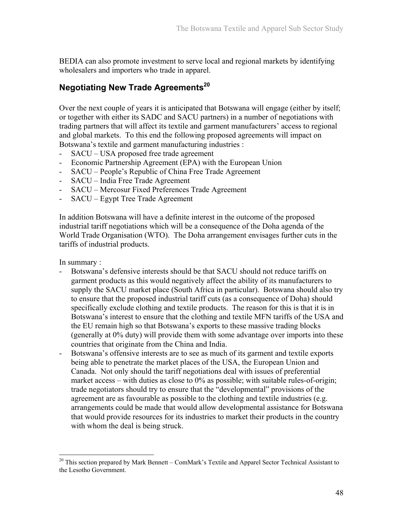BEDIA can also promote investment to serve local and regional markets by identifying wholesalers and importers who trade in apparel.

## **Negotiating New Trade Agreements<sup>20</sup>**

Over the next couple of years it is anticipated that Botswana will engage (either by itself; or together with either its SADC and SACU partners) in a number of negotiations with trading partners that will affect its textile and garment manufacturers' access to regional and global markets. To this end the following proposed agreements will impact on Botswana's textile and garment manufacturing industries :

- SACU USA proposed free trade agreement
- Economic Partnership Agreement (EPA) with the European Union
- SACU People's Republic of China Free Trade Agreement
- SACU India Free Trade Agreement
- SACU Mercosur Fixed Preferences Trade Agreement
- SACU Egypt Tree Trade Agreement

In addition Botswana will have a definite interest in the outcome of the proposed industrial tariff negotiations which will be a consequence of the Doha agenda of the World Trade Organisation (WTO). The Doha arrangement envisages further cuts in the tariffs of industrial products.

In summary :

 $\overline{a}$ 

- Botswana's defensive interests should be that SACU should not reduce tariffs on garment products as this would negatively affect the ability of its manufacturers to supply the SACU market place (South Africa in particular). Botswana should also try to ensure that the proposed industrial tariff cuts (as a consequence of Doha) should specifically exclude clothing and textile products. The reason for this is that it is in Botswana's interest to ensure that the clothing and textile MFN tariffs of the USA and the EU remain high so that Botswana's exports to these massive trading blocks (generally at 0% duty) will provide them with some advantage over imports into these countries that originate from the China and India.
- Botswana's offensive interests are to see as much of its garment and textile exports being able to penetrate the market places of the USA, the European Union and Canada. Not only should the tariff negotiations deal with issues of preferential market access – with duties as close to 0% as possible; with suitable rules-of-origin; trade negotiators should try to ensure that the "developmental" provisions of the agreement are as favourable as possible to the clothing and textile industries (e.g. arrangements could be made that would allow developmental assistance for Botswana that would provide resources for its industries to market their products in the country with whom the deal is being struck.

<sup>&</sup>lt;sup>20</sup> This section prepared by Mark Bennett – ComMark's Textile and Apparel Sector Technical Assistant to the Lesotho Government.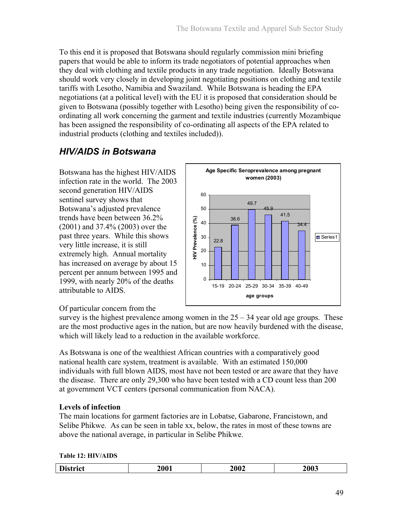To this end it is proposed that Botswana should regularly commission mini briefing papers that would be able to inform its trade negotiators of potential approaches when they deal with clothing and textile products in any trade negotiation. Ideally Botswana should work very closely in developing joint negotiating positions on clothing and textile tariffs with Lesotho, Namibia and Swaziland. While Botswana is heading the EPA negotiations (at a political level) with the EU it is proposed that consideration should be given to Botswana (possibly together with Lesotho) being given the responsibility of coordinating all work concerning the garment and textile industries (currently Mozambique has been assigned the responsibility of co-ordinating all aspects of the EPA related to industrial products (clothing and textiles included)).

## *HIV/AIDS in Botswana*

Botswana has the highest HIV/AIDS infection rate in the world. The 2003 second generation HIV/AIDS sentinel survey shows that Botswana's adjusted prevalence trends have been between 36.2% (2001) and 37.4% (2003) over the past three years. While this shows very little increase, it is still extremely high. Annual mortality has increased on average by about 15 percent per annum between 1995 and 1999, with nearly 20% of the deaths attributable to AIDS.



### Of particular concern from the

survey is the highest prevalence among women in the  $25 - 34$  year old age groups. These are the most productive ages in the nation, but are now heavily burdened with the disease, which will likely lead to a reduction in the available workforce.

As Botswana is one of the wealthiest African countries with a comparatively good national health care system, treatment is available. With an estimated 150,000 individuals with full blown AIDS, most have not been tested or are aware that they have the disease. There are only 29,300 who have been tested with a CD count less than 200 at government VCT centers (personal communication from NACA).

### **Levels of infection**

The main locations for garment factories are in Lobatse, Gabarone, Francistown, and Selibe Phikwe. As can be seen in table xx, below, the rates in most of these towns are above the national average, in particular in Selibe Phikwe.

**Table 12: HIV/AIDS** 

| D<br>101/01 | <b>2001</b> | 2002 | 2003 |
|-------------|-------------|------|------|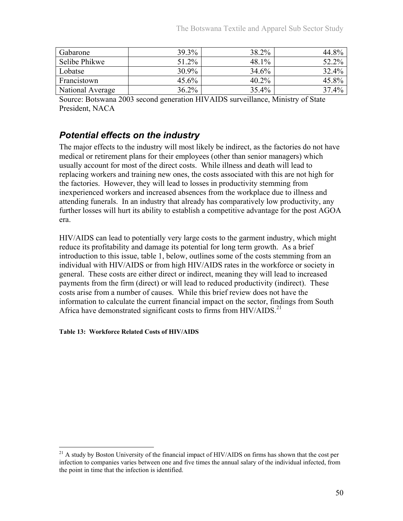| Gabarone         | 39.3%    | 38.2% | 44.8% |
|------------------|----------|-------|-------|
| Selibe Phikwe    | 51.2%    | 48.1% | 52.2% |
| Lobatse          | 30.9%    | 34.6% | 32.4% |
| Francistown      | $45.6\%$ | 40.2% | 45.8% |
| National Average | $36.2\%$ | 35.4% | 37.4% |

Source: Botswana 2003 second generation HIVAIDS surveillance, Ministry of State President, NACA

## *Potential effects on the industry*

The major effects to the industry will most likely be indirect, as the factories do not have medical or retirement plans for their employees (other than senior managers) which usually account for most of the direct costs. While illness and death will lead to replacing workers and training new ones, the costs associated with this are not high for the factories. However, they will lead to losses in productivity stemming from inexperienced workers and increased absences from the workplace due to illness and attending funerals. In an industry that already has comparatively low productivity, any further losses will hurt its ability to establish a competitive advantage for the post AGOA era.

HIV/AIDS can lead to potentially very large costs to the garment industry, which might reduce its profitability and damage its potential for long term growth. As a brief introduction to this issue, table 1, below, outlines some of the costs stemming from an individual with HIV/AIDS or from high HIV/AIDS rates in the workforce or society in general. These costs are either direct or indirect, meaning they will lead to increased payments from the firm (direct) or will lead to reduced productivity (indirect). These costs arise from a number of causes. While this brief review does not have the information to calculate the current financial impact on the sector, findings from South Africa have demonstrated significant costs to firms from HIV/AIDS.<sup>21</sup>

#### **Table 13: Workforce Related Costs of HIV/AIDS**

 $\overline{a}$ 

 $^{21}$  A study by Boston University of the financial impact of HIV/AIDS on firms has shown that the cost per infection to companies varies between one and five times the annual salary of the individual infected, from the point in time that the infection is identified.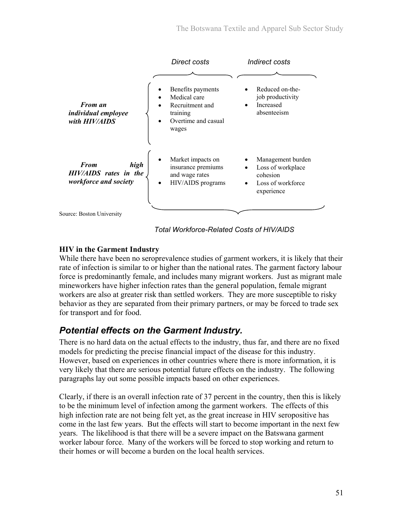|                                                                       | Direct costs                                                                                     | Indirect costs                                                                        |
|-----------------------------------------------------------------------|--------------------------------------------------------------------------------------------------|---------------------------------------------------------------------------------------|
|                                                                       |                                                                                                  |                                                                                       |
| <b>From an</b><br><i>individual employee</i><br>with HIV/AIDS         | Benefits payments<br>Medical care<br>Recruitment and<br>training<br>Overtime and casual<br>wages | Reduced on-the-<br>job productivity<br>Increased<br>absenteeism                       |
| <b>From</b><br>high<br>HIV/AIDS rates in the<br>workforce and society | Market impacts on<br>insurance premiums<br>and wage rates<br>HIV/AIDS programs<br>$\bullet$      | Management burden<br>Loss of workplace<br>cohesion<br>Loss of workforce<br>experience |
| Source: Boston University                                             |                                                                                                  |                                                                                       |

*Total Workforce-Related Costs of HIV/AIDS* 

### **HIV in the Garment Industry**

While there have been no seroprevalence studies of garment workers, it is likely that their rate of infection is similar to or higher than the national rates. The garment factory labour force is predominantly female, and includes many migrant workers. Just as migrant male mineworkers have higher infection rates than the general population, female migrant workers are also at greater risk than settled workers. They are more susceptible to risky behavior as they are separated from their primary partners, or may be forced to trade sex for transport and for food.

## *Potential effects on the Garment Industry.*

There is no hard data on the actual effects to the industry, thus far, and there are no fixed models for predicting the precise financial impact of the disease for this industry. However, based on experiences in other countries where there is more information, it is very likely that there are serious potential future effects on the industry. The following paragraphs lay out some possible impacts based on other experiences.

Clearly, if there is an overall infection rate of 37 percent in the country, then this is likely to be the minimum level of infection among the garment workers. The effects of this high infection rate are not being felt yet, as the great increase in HIV seropositive has come in the last few years. But the effects will start to become important in the next few years. The likelihood is that there will be a severe impact on the Batswana garment worker labour force. Many of the workers will be forced to stop working and return to their homes or will become a burden on the local health services.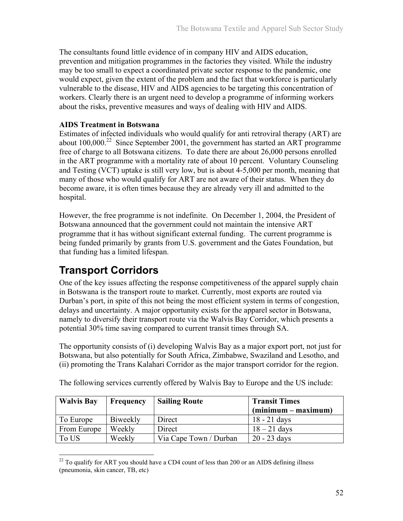The consultants found little evidence of in company HIV and AIDS education, prevention and mitigation programmes in the factories they visited. While the industry may be too small to expect a coordinated private sector response to the pandemic, one would expect, given the extent of the problem and the fact that workforce is particularly vulnerable to the disease, HIV and AIDS agencies to be targeting this concentration of workers. Clearly there is an urgent need to develop a programme of informing workers about the risks, preventive measures and ways of dealing with HIV and AIDS.

### **AIDS Treatment in Botswana**

Estimates of infected individuals who would qualify for anti retroviral therapy (ART) are about  $100,000$ <sup>22</sup> Since September 2001, the government has started an ART programme free of charge to all Botswana citizens. To date there are about 26,000 persons enrolled in the ART programme with a mortality rate of about 10 percent. Voluntary Counseling and Testing (VCT) uptake is still very low, but is about 4-5,000 per month, meaning that many of those who would qualify for ART are not aware of their status. When they do become aware, it is often times because they are already very ill and admitted to the hospital.

However, the free programme is not indefinite. On December 1, 2004, the President of Botswana announced that the government could not maintain the intensive ART programme that it has without significant external funding. The current programme is being funded primarily by grants from U.S. government and the Gates Foundation, but that funding has a limited lifespan.

# **Transport Corridors**

One of the key issues affecting the response competitiveness of the apparel supply chain in Botswana is the transport route to market. Currently, most exports are routed via Durban's port, in spite of this not being the most efficient system in terms of congestion, delays and uncertainty. A major opportunity exists for the apparel sector in Botswana, namely to diversify their transport route via the Walvis Bay Corridor, which presents a potential 30% time saving compared to current transit times through SA.

The opportunity consists of (i) developing Walvis Bay as a major export port, not just for Botswana, but also potentially for South Africa, Zimbabwe, Swaziland and Lesotho, and (ii) promoting the Trans Kalahari Corridor as the major transport corridor for the region.

| <b>Walvis Bay</b> | <b>Frequency</b> | <b>Sailing Route</b>   | <b>Transit Times</b>  |
|-------------------|------------------|------------------------|-----------------------|
|                   |                  |                        | $(minimum - maximum)$ |
| To Europe         | Biweekly         | Direct                 | $18 - 21$ days        |
| From Europe       | Weekly           | Direct                 | $18 - 21$ days        |
| To US             | Weekly           | Via Cape Town / Durban | $20 - 23$ days        |

The following services currently offered by Walvis Bay to Europe and the US include:

 $\overline{a}$  $22$  To qualify for ART you should have a CD4 count of less than 200 or an AIDS defining illness (pneumonia, skin cancer, TB, etc)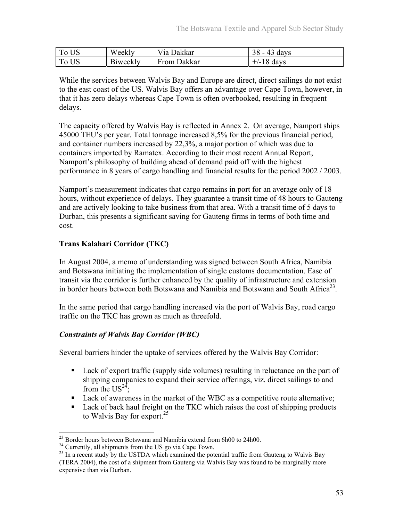| To US | Weekly   | Via Dakkar  | 38<br>43 days |
|-------|----------|-------------|---------------|
| To US | Biweekly | From Dakkar | $+/-18$ days  |

While the services between Walvis Bay and Europe are direct, direct sailings do not exist to the east coast of the US. Walvis Bay offers an advantage over Cape Town, however, in that it has zero delays whereas Cape Town is often overbooked, resulting in frequent delays.

The capacity offered by Walvis Bay is reflected in Annex 2. On average, Namport ships 45000 TEU's per year. Total tonnage increased 8,5% for the previous financial period, and container numbers increased by 22,3%, a major portion of which was due to containers imported by Ramatex. According to their most recent Annual Report, Namport's philosophy of building ahead of demand paid off with the highest performance in 8 years of cargo handling and financial results for the period 2002 / 2003.

Namport's measurement indicates that cargo remains in port for an average only of 18 hours, without experience of delays. They guarantee a transit time of 48 hours to Gauteng and are actively looking to take business from that area. With a transit time of 5 days to Durban, this presents a significant saving for Gauteng firms in terms of both time and cost.

### **Trans Kalahari Corridor (TKC)**

In August 2004, a memo of understanding was signed between South Africa, Namibia and Botswana initiating the implementation of single customs documentation. Ease of transit via the corridor is further enhanced by the quality of infrastructure and extension in border hours between both Botswana and Namibia and Botswana and South Africa<sup>23</sup>.

In the same period that cargo handling increased via the port of Walvis Bay, road cargo traffic on the TKC has grown as much as threefold.

### *Constraints of Walvis Bay Corridor (WBC)*

Several barriers hinder the uptake of services offered by the Walvis Bay Corridor:

- Lack of export traffic (supply side volumes) resulting in reluctance on the part of shipping companies to expand their service offerings, viz. direct sailings to and from the  $US^{24}$ :
- Lack of awareness in the market of the WBC as a competitive route alternative;
- Lack of back haul freight on the TKC which raises the cost of shipping products to Walvis Bay for export.<sup>25</sup>

1

<sup>&</sup>lt;sup>23</sup> Border hours between Botswana and Namibia extend from 6h00 to 24h00.

<sup>&</sup>lt;sup>24</sup> Currently, all shipments from the US go via Cape Town.

<sup>&</sup>lt;sup>25</sup> In a recent study by the USTDA which examined the potential traffic from Gauteng to Walvis Bay (TERA 2004), the cost of a shipment from Gauteng via Walvis Bay was found to be marginally more expensive than via Durban.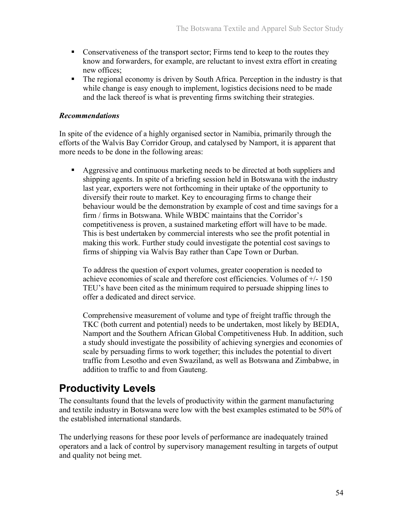- Conservativeness of the transport sector; Firms tend to keep to the routes they know and forwarders, for example, are reluctant to invest extra effort in creating new offices;
- The regional economy is driven by South Africa. Perception in the industry is that while change is easy enough to implement, logistics decisions need to be made and the lack thereof is what is preventing firms switching their strategies.

### *Recommendations*

In spite of the evidence of a highly organised sector in Namibia, primarily through the efforts of the Walvis Bay Corridor Group, and catalysed by Namport, it is apparent that more needs to be done in the following areas:

Aggressive and continuous marketing needs to be directed at both suppliers and shipping agents. In spite of a briefing session held in Botswana with the industry last year, exporters were not forthcoming in their uptake of the opportunity to diversify their route to market. Key to encouraging firms to change their behaviour would be the demonstration by example of cost and time savings for a firm / firms in Botswana. While WBDC maintains that the Corridor's competitiveness is proven, a sustained marketing effort will have to be made. This is best undertaken by commercial interests who see the profit potential in making this work. Further study could investigate the potential cost savings to firms of shipping via Walvis Bay rather than Cape Town or Durban.

To address the question of export volumes, greater cooperation is needed to achieve economies of scale and therefore cost efficiencies. Volumes of +/- 150 TEU's have been cited as the minimum required to persuade shipping lines to offer a dedicated and direct service.

Comprehensive measurement of volume and type of freight traffic through the TKC (both current and potential) needs to be undertaken, most likely by BEDIA, Namport and the Southern African Global Competitiveness Hub. In addition, such a study should investigate the possibility of achieving synergies and economies of scale by persuading firms to work together; this includes the potential to divert traffic from Lesotho and even Swaziland, as well as Botswana and Zimbabwe, in addition to traffic to and from Gauteng.

# **Productivity Levels**

The consultants found that the levels of productivity within the garment manufacturing and textile industry in Botswana were low with the best examples estimated to be 50% of the established international standards.

The underlying reasons for these poor levels of performance are inadequately trained operators and a lack of control by supervisory management resulting in targets of output and quality not being met.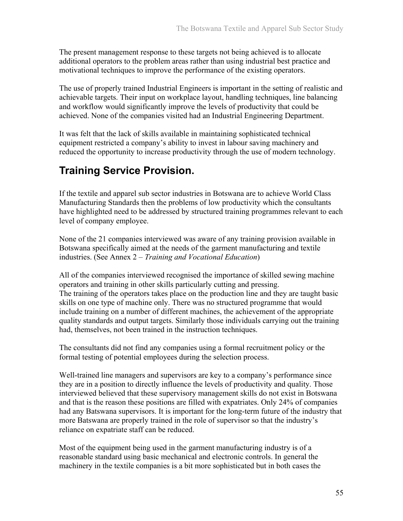The present management response to these targets not being achieved is to allocate additional operators to the problem areas rather than using industrial best practice and motivational techniques to improve the performance of the existing operators.

The use of properly trained Industrial Engineers is important in the setting of realistic and achievable targets. Their input on workplace layout, handling techniques, line balancing and workflow would significantly improve the levels of productivity that could be achieved. None of the companies visited had an Industrial Engineering Department.

It was felt that the lack of skills available in maintaining sophisticated technical equipment restricted a company's ability to invest in labour saving machinery and reduced the opportunity to increase productivity through the use of modern technology.

# **Training Service Provision.**

If the textile and apparel sub sector industries in Botswana are to achieve World Class Manufacturing Standards then the problems of low productivity which the consultants have highlighted need to be addressed by structured training programmes relevant to each level of company employee.

None of the 21 companies interviewed was aware of any training provision available in Botswana specifically aimed at the needs of the garment manufacturing and textile industries. (See Annex 2 – *Training and Vocational Education*)

All of the companies interviewed recognised the importance of skilled sewing machine operators and training in other skills particularly cutting and pressing. The training of the operators takes place on the production line and they are taught basic skills on one type of machine only. There was no structured programme that would include training on a number of different machines, the achievement of the appropriate quality standards and output targets. Similarly those individuals carrying out the training had, themselves, not been trained in the instruction techniques.

The consultants did not find any companies using a formal recruitment policy or the formal testing of potential employees during the selection process.

Well-trained line managers and supervisors are key to a company's performance since they are in a position to directly influence the levels of productivity and quality. Those interviewed believed that these supervisory management skills do not exist in Botswana and that is the reason these positions are filled with expatriates. Only 24% of companies had any Batswana supervisors. It is important for the long-term future of the industry that more Batswana are properly trained in the role of supervisor so that the industry's reliance on expatriate staff can be reduced.

Most of the equipment being used in the garment manufacturing industry is of a reasonable standard using basic mechanical and electronic controls. In general the machinery in the textile companies is a bit more sophisticated but in both cases the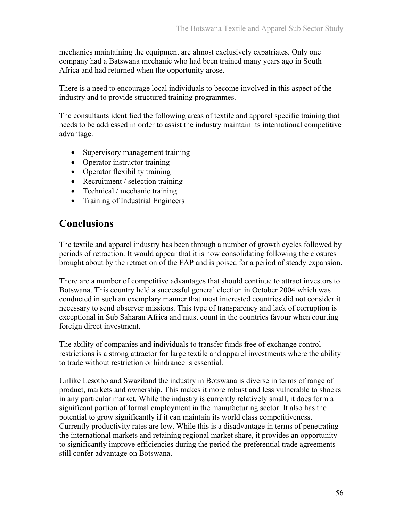mechanics maintaining the equipment are almost exclusively expatriates. Only one company had a Batswana mechanic who had been trained many years ago in South Africa and had returned when the opportunity arose.

There is a need to encourage local individuals to become involved in this aspect of the industry and to provide structured training programmes.

The consultants identified the following areas of textile and apparel specific training that needs to be addressed in order to assist the industry maintain its international competitive advantage.

- Supervisory management training
- Operator instructor training
- Operator flexibility training
- Recruitment / selection training
- Technical / mechanic training
- Training of Industrial Engineers

## **Conclusions**

The textile and apparel industry has been through a number of growth cycles followed by periods of retraction. It would appear that it is now consolidating following the closures brought about by the retraction of the FAP and is poised for a period of steady expansion.

There are a number of competitive advantages that should continue to attract investors to Botswana. This country held a successful general election in October 2004 which was conducted in such an exemplary manner that most interested countries did not consider it necessary to send observer missions. This type of transparency and lack of corruption is exceptional in Sub Saharan Africa and must count in the countries favour when courting foreign direct investment.

The ability of companies and individuals to transfer funds free of exchange control restrictions is a strong attractor for large textile and apparel investments where the ability to trade without restriction or hindrance is essential.

Unlike Lesotho and Swaziland the industry in Botswana is diverse in terms of range of product, markets and ownership. This makes it more robust and less vulnerable to shocks in any particular market. While the industry is currently relatively small, it does form a significant portion of formal employment in the manufacturing sector. It also has the potential to grow significantly if it can maintain its world class competitiveness. Currently productivity rates are low. While this is a disadvantage in terms of penetrating the international markets and retaining regional market share, it provides an opportunity to significantly improve efficiencies during the period the preferential trade agreements still confer advantage on Botswana.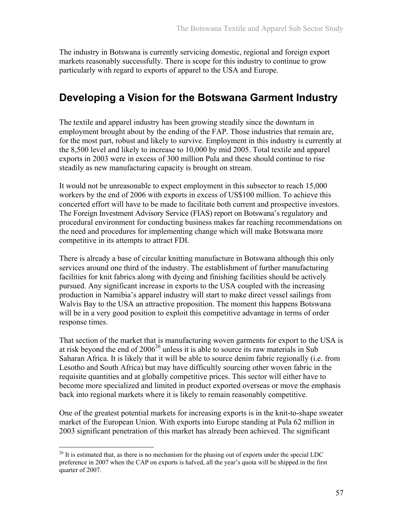The industry in Botswana is currently servicing domestic, regional and foreign export markets reasonably successfully. There is scope for this industry to continue to grow particularly with regard to exports of apparel to the USA and Europe.

# **Developing a Vision for the Botswana Garment Industry**

The textile and apparel industry has been growing steadily since the downturn in employment brought about by the ending of the FAP. Those industries that remain are, for the most part, robust and likely to survive. Employment in this industry is currently at the 8,500 level and likely to increase to 10,000 by mid 2005. Total textile and apparel exports in 2003 were in excess of 300 million Pula and these should continue to rise steadily as new manufacturing capacity is brought on stream.

It would not be unreasonable to expect employment in this subsector to reach 15,000 workers by the end of 2006 with exports in excess of US\$100 million. To achieve this concerted effort will have to be made to facilitate both current and prospective investors. The Foreign Investment Advisory Service (FIAS) report on Botswana's regulatory and procedural environment for conducting business makes far reaching recommendations on the need and procedures for implementing change which will make Botswana more competitive in its attempts to attract FDI.

There is already a base of circular knitting manufacture in Botswana although this only services around one third of the industry. The establishment of further manufacturing facilities for knit fabrics along with dyeing and finishing facilities should be actively pursued. Any significant increase in exports to the USA coupled with the increasing production in Namibia's apparel industry will start to make direct vessel sailings from Walvis Bay to the USA an attractive proposition. The moment this happens Botswana will be in a very good position to exploit this competitive advantage in terms of order response times.

That section of the market that is manufacturing woven garments for export to the USA is at risk beyond the end of  $2006^{26}$  unless it is able to source its raw materials in Sub Saharan Africa. It is likely that it will be able to source denim fabric regionally (i.e. from Lesotho and South Africa) but may have difficultly sourcing other woven fabric in the requisite quantities and at globally competitive prices. This sector will either have to become more specialized and limited in product exported overseas or move the emphasis back into regional markets where it is likely to remain reasonably competitive.

One of the greatest potential markets for increasing exports is in the knit-to-shape sweater market of the European Union. With exports into Europe standing at Pula 62 million in 2003 significant penetration of this market has already been achieved. The significant

 $\overline{a}$ 

<sup>&</sup>lt;sup>26</sup> It is estimated that, as there is no mechanism for the phasing out of exports under the special LDC preference in 2007 when the CAP on exports is halved, all the year's quota will be shipped in the first quarter of 2007.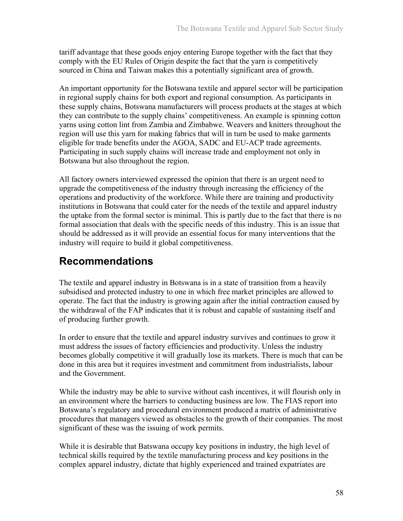tariff advantage that these goods enjoy entering Europe together with the fact that they comply with the EU Rules of Origin despite the fact that the yarn is competitively sourced in China and Taiwan makes this a potentially significant area of growth.

An important opportunity for the Botswana textile and apparel sector will be participation in regional supply chains for both export and regional consumption. As participants in these supply chains, Botswana manufacturers will process products at the stages at which they can contribute to the supply chains' competitiveness. An example is spinning cotton yarns using cotton lint from Zambia and Zimbabwe. Weavers and knitters throughout the region will use this yarn for making fabrics that will in turn be used to make garments eligible for trade benefits under the AGOA, SADC and EU-ACP trade agreements. Participating in such supply chains will increase trade and employment not only in Botswana but also throughout the region.

All factory owners interviewed expressed the opinion that there is an urgent need to upgrade the competitiveness of the industry through increasing the efficiency of the operations and productivity of the workforce. While there are training and productivity institutions in Botswana that could cater for the needs of the textile and apparel industry the uptake from the formal sector is minimal. This is partly due to the fact that there is no formal association that deals with the specific needs of this industry. This is an issue that should be addressed as it will provide an essential focus for many interventions that the industry will require to build it global competitiveness.

# **Recommendations**

The textile and apparel industry in Botswana is in a state of transition from a heavily subsidised and protected industry to one in which free market principles are allowed to operate. The fact that the industry is growing again after the initial contraction caused by the withdrawal of the FAP indicates that it is robust and capable of sustaining itself and of producing further growth.

In order to ensure that the textile and apparel industry survives and continues to grow it must address the issues of factory efficiencies and productivity. Unless the industry becomes globally competitive it will gradually lose its markets. There is much that can be done in this area but it requires investment and commitment from industrialists, labour and the Government.

While the industry may be able to survive without cash incentives, it will flourish only in an environment where the barriers to conducting business are low. The FIAS report into Botswana's regulatory and procedural environment produced a matrix of administrative procedures that managers viewed as obstacles to the growth of their companies. The most significant of these was the issuing of work permits.

While it is desirable that Batswana occupy key positions in industry, the high level of technical skills required by the textile manufacturing process and key positions in the complex apparel industry, dictate that highly experienced and trained expatriates are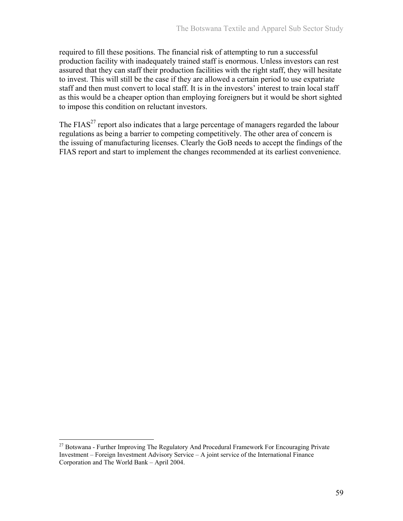required to fill these positions. The financial risk of attempting to run a successful production facility with inadequately trained staff is enormous. Unless investors can rest assured that they can staff their production facilities with the right staff, they will hesitate to invest. This will still be the case if they are allowed a certain period to use expatriate staff and then must convert to local staff. It is in the investors' interest to train local staff as this would be a cheaper option than employing foreigners but it would be short sighted to impose this condition on reluctant investors.

The FIAS<sup>27</sup> report also indicates that a large percentage of managers regarded the labour regulations as being a barrier to competing competitively. The other area of concern is the issuing of manufacturing licenses. Clearly the GoB needs to accept the findings of the FIAS report and start to implement the changes recommended at its earliest convenience.

 $\overline{a}$ 

 $27$  Botswana - Further Improving The Regulatory And Procedural Framework For Encouraging Private Investment – Foreign Investment Advisory Service – A joint service of the International Finance Corporation and The World Bank – April 2004.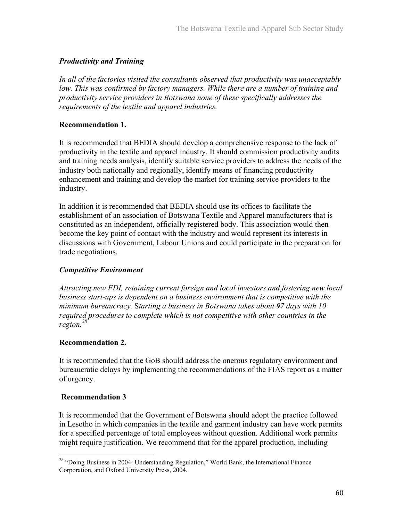### *Productivity and Training*

*In all of the factories visited the consultants observed that productivity was unacceptably low. This was confirmed by factory managers. While there are a number of training and productivity service providers in Botswana none of these specifically addresses the requirements of the textile and apparel industries.* 

### **Recommendation 1.**

It is recommended that BEDIA should develop a comprehensive response to the lack of productivity in the textile and apparel industry. It should commission productivity audits and training needs analysis, identify suitable service providers to address the needs of the industry both nationally and regionally, identify means of financing productivity enhancement and training and develop the market for training service providers to the industry.

In addition it is recommended that BEDIA should use its offices to facilitate the establishment of an association of Botswana Textile and Apparel manufacturers that is constituted as an independent, officially registered body. This association would then become the key point of contact with the industry and would represent its interests in discussions with Government, Labour Unions and could participate in the preparation for trade negotiations.

### *Competitive Environment*

*Attracting new FDI, retaining current foreign and local investors and fostering new local business start-ups is dependent on a business environment that is competitive with the minimum bureaucracy.* S*tarting a business in Botswana takes about 97 days with 10 required procedures to complete which is not competitive with other countries in the region.28*

### **Recommendation 2.**

It is recommended that the GoB should address the onerous regulatory environment and bureaucratic delays by implementing the recommendations of the FIAS report as a matter of urgency.

### **Recommendation 3**

 $\overline{a}$ 

It is recommended that the Government of Botswana should adopt the practice followed in Lesotho in which companies in the textile and garment industry can have work permits for a specified percentage of total employees without question. Additional work permits might require justification. We recommend that for the apparel production, including

<sup>&</sup>lt;sup>28</sup> "Doing Business in 2004: Understanding Regulation," World Bank, the International Finance Corporation, and Oxford University Press, 2004.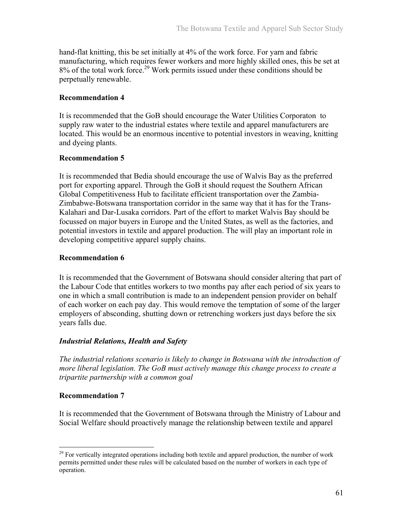hand-flat knitting, this be set initially at 4% of the work force. For yarn and fabric manufacturing, which requires fewer workers and more highly skilled ones, this be set at 8% of the total work force.<sup>29</sup> Work permits issued under these conditions should be perpetually renewable.

### **Recommendation 4**

It is recommended that the GoB should encourage the Water Utilities Corporaton to supply raw water to the industrial estates where textile and apparel manufacturers are located. This would be an enormous incentive to potential investors in weaving, knitting and dyeing plants.

### **Recommendation 5**

It is recommended that Bedia should encourage the use of Walvis Bay as the preferred port for exporting apparel. Through the GoB it should request the Southern African Global Competitiveness Hub to facilitate efficient transportation over the Zambia-Zimbabwe-Botswana transportation corridor in the same way that it has for the Trans-Kalahari and Dar-Lusaka corridors. Part of the effort to market Walvis Bay should be focussed on major buyers in Europe and the United States, as well as the factories, and potential investors in textile and apparel production. The will play an important role in developing competitive apparel supply chains.

### **Recommendation 6**

It is recommended that the Government of Botswana should consider altering that part of the Labour Code that entitles workers to two months pay after each period of six years to one in which a small contribution is made to an independent pension provider on behalf of each worker on each pay day. This would remove the temptation of some of the larger employers of absconding, shutting down or retrenching workers just days before the six years falls due.

### *Industrial Relations, Health and Safety*

*The industrial relations scenario is likely to change in Botswana with the introduction of more liberal legislation. The GoB must actively manage this change process to create a tripartite partnership with a common goal* 

#### **Recommendation 7**

 $\overline{a}$ 

It is recommended that the Government of Botswana through the Ministry of Labour and Social Welfare should proactively manage the relationship between textile and apparel

 $^{29}$  For vertically integrated operations including both textile and apparel production, the number of work permits permitted under these rules will be calculated based on the number of workers in each type of operation.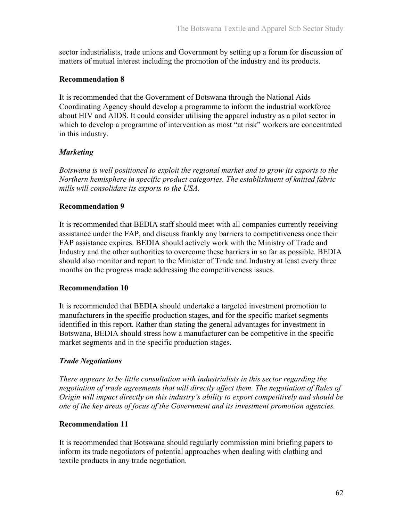sector industrialists, trade unions and Government by setting up a forum for discussion of matters of mutual interest including the promotion of the industry and its products.

### **Recommendation 8**

It is recommended that the Government of Botswana through the National Aids Coordinating Agency should develop a programme to inform the industrial workforce about HIV and AIDS. It could consider utilising the apparel industry as a pilot sector in which to develop a programme of intervention as most "at risk" workers are concentrated in this industry.

### *Marketing*

*Botswana is well positioned to exploit the regional market and to grow its exports to the Northern hemisphere in specific product categories. The establishment of knitted fabric mills will consolidate its exports to the USA.* 

### **Recommendation 9**

It is recommended that BEDIA staff should meet with all companies currently receiving assistance under the FAP, and discuss frankly any barriers to competitiveness once their FAP assistance expires. BEDIA should actively work with the Ministry of Trade and Industry and the other authorities to overcome these barriers in so far as possible. BEDIA should also monitor and report to the Minister of Trade and Industry at least every three months on the progress made addressing the competitiveness issues.

#### **Recommendation 10**

It is recommended that BEDIA should undertake a targeted investment promotion to manufacturers in the specific production stages, and for the specific market segments identified in this report. Rather than stating the general advantages for investment in Botswana, BEDIA should stress how a manufacturer can be competitive in the specific market segments and in the specific production stages.

### *Trade Negotiations*

*There appears to be little consultation with industrialists in this sector regarding the*  negotiation of trade agreements that will directly affect them. The negotiation of Rules of *Origin will impact directly on this industry's ability to export competitively and should be one of the key areas of focus of the Government and its investment promotion agencies.* 

#### **Recommendation 11**

It is recommended that Botswana should regularly commission mini briefing papers to inform its trade negotiators of potential approaches when dealing with clothing and textile products in any trade negotiation.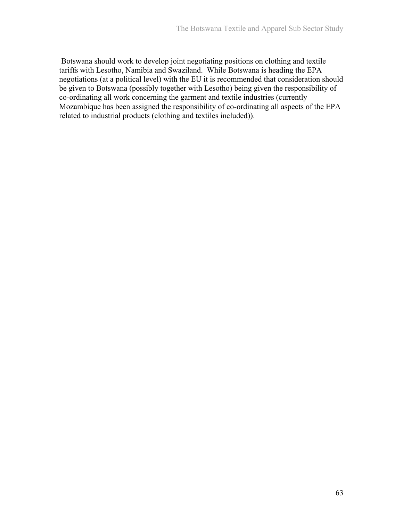Botswana should work to develop joint negotiating positions on clothing and textile tariffs with Lesotho, Namibia and Swaziland. While Botswana is heading the EPA negotiations (at a political level) with the EU it is recommended that consideration should be given to Botswana (possibly together with Lesotho) being given the responsibility of co-ordinating all work concerning the garment and textile industries (currently Mozambique has been assigned the responsibility of co-ordinating all aspects of the EPA related to industrial products (clothing and textiles included)).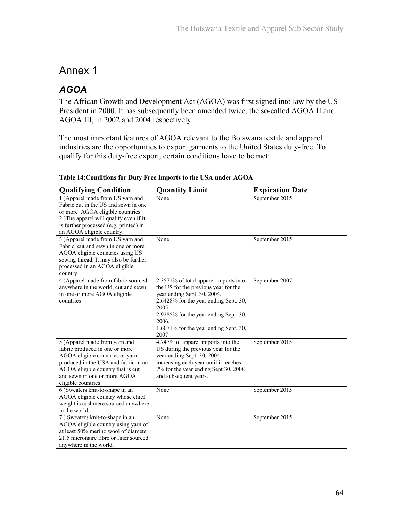## Annex 1

# *AGOA*

The African Growth and Development Act (AGOA) was first signed into law by the US President in 2000. It has subsequently been amended twice, the so-called AGOA II and AGOA III, in 2002 and 2004 respectively.

The most important features of AGOA relevant to the Botswana textile and apparel industries are the opportunities to export garments to the United States duty-free. To qualify for this duty-free export, certain conditions have to be met:

| <b>Qualifying Condition</b>                                                                                                                                                                                                            | <b>Quantity Limit</b>                                                                                                                                                                                                                                                | <b>Expiration Date</b>      |
|----------------------------------------------------------------------------------------------------------------------------------------------------------------------------------------------------------------------------------------|----------------------------------------------------------------------------------------------------------------------------------------------------------------------------------------------------------------------------------------------------------------------|-----------------------------|
| 1.) Apparel made from US yarn and<br>Fabric cut in the US and sewn in one<br>or more AGOA eligible countries.<br>2.) The apparel will qualify even if it<br>is further processed (e.g. printed) in<br>an AGOA eligible country.        | None                                                                                                                                                                                                                                                                 | September 2015              |
| 3.) Apparel made from US yarn and<br>Fabric, cut and sewn in one or more<br>AGOA eligible countries using US<br>sewing thread. It may also be further<br>processed in an AGOA eligible<br>country                                      | None                                                                                                                                                                                                                                                                 | September 2015              |
| 4.) Apparel made from fabric sourced<br>anywhere in the world, cut and sewn<br>in one or more AGOA eligible<br>countries                                                                                                               | 2.3571% of total apparel imports into<br>the US for the previous year for the<br>year ending Sept. 30, 2004.<br>2.6428% for the year ending Sept. 30,<br>2005.<br>2.9285% for the year ending Sept. 30,<br>2006.<br>$1.6071\%$ for the year ending Sept. 30,<br>2007 | September 2007              |
| 5.) Apparel made from yarn and<br>fabric produced in one or more<br>AGOA eligible countries or yarn<br>produced in the USA and fabric in an<br>AGOA eligible country that is cut<br>and sewn in one or more AGOA<br>eligible countries | 4.747% of apparel imports into the<br>US during the previous year for the<br>vear ending Sept. 30, 2004,<br>increasing each year until it reaches<br>7% for the year ending Sept 30, 2008<br>and subsequent years.                                                   | September $20\overline{15}$ |
| 6.) Sweaters knit-to-shape in an<br>AGOA eligible country whose chief<br>weight is cashmere sourced anywhere<br>in the world.                                                                                                          | None                                                                                                                                                                                                                                                                 | September 2015              |
| 7.) Sweaters knit-to-shape in an<br>AGOA eligible country using yarn of<br>at least 50% merino wool of diameter<br>21.5 micronaire fibre or finer sourced<br>anywhere in the world.                                                    | None                                                                                                                                                                                                                                                                 | September 2015              |

**Table 14:Conditions for Duty Free Imports to the USA under AGOA**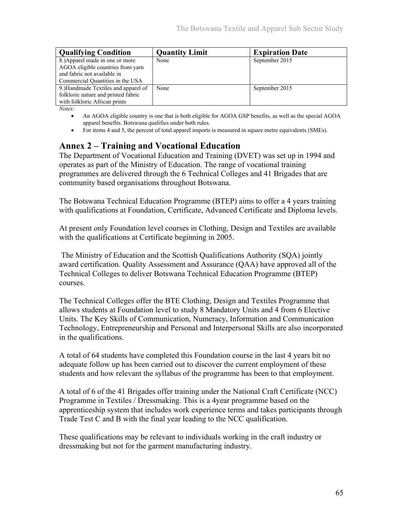| <b>Qualifying Condition</b>         | <b>Quantity Limit</b> | <b>Expiration Date</b> |
|-------------------------------------|-----------------------|------------------------|
| 8.) Apparel made in one or more     | None                  | September 2015         |
| AGOA eligible countries from yarn   |                       |                        |
| and fabric not available in         |                       |                        |
| Commercial Quantities in the USA    |                       |                        |
| 9.)Handmade Textiles and apparel of | None                  | September 2015         |
| folkloric nature and printed fabric |                       |                        |
| with folkloric African prints       |                       |                        |

*Notes:* 

- An AGOA eligible country is one that is both eligible for AGOA GSP benefits, as well as the special AGOA apparel benefits. Botswana qualifies under both rules.
- For items 4 and 5, the percent of total apparel imports is measured in square metre equivalents (SMEs).

## **Annex 2 – Training and Vocational Education**

The Department of Vocational Education and Training (DVET) was set up in 1994 and operates as part of the Ministry of Education. The range of vocational training programmes are delivered through the 6 Technical Colleges and 41 Brigades that are community based organisations throughout Botswana.

The Botswana Technical Education Programme (BTEP) aims to offer a 4 years training with qualifications at Foundation, Certificate, Advanced Certificate and Diploma levels.

At present only Foundation level courses in Clothing, Design and Textiles are available with the qualifications at Certificate beginning in 2005.

 The Ministry of Education and the Scottish Qualifications Authority (SQA) jointly award certification. Quality Assessment and Assurance (QAA) have approved all of the Technical Colleges to deliver Botswana Technical Education Programme (BTEP) courses.

The Technical Colleges offer the BTE Clothing, Design and Textiles Programme that allows students at Foundation level to study 8 Mandatory Units and 4 from 6 Elective Units. The Key Skills of Communication, Numeracy, Information and Communication Technology, Entrepreneurship and Personal and Interpersonal Skills are also incorporated in the qualifications.

A total of 64 students have completed this Foundation course in the last 4 years bit no adequate follow up has been carried out to discover the current employment of these students and how relevant the syllabus of the programme has been to that employment.

A total of 6 of the 41 Brigades offer training under the National Craft Certificate (NCC) Programme in Textiles / Dressmaking. This is a 4year programme based on the apprenticeship system that includes work experience terms and takes participants through Trade Test C and B with the final year leading to the NCC qualification.

These qualifications may be relevant to individuals working in the craft industry or dressmaking but not for the garment manufacturing industry.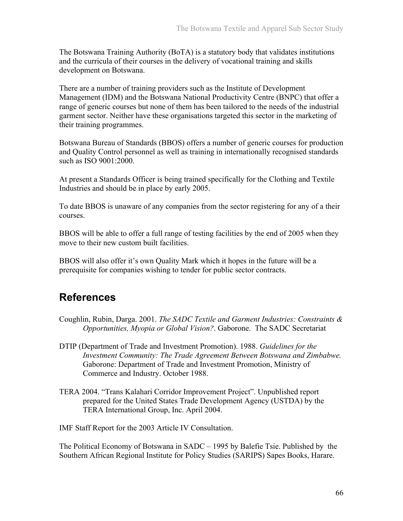The Botswana Training Authority (BoTA) is a statutory body that validates institutions and the curricula of their courses in the delivery of vocational training and skills development on Botswana.

There are a number of training providers such as the Institute of Development Management (IDM) and the Botswana National Productivity Centre (BNPC) that offer a range of generic courses but none of them has been tailored to the needs of the industrial garment sector. Neither have these organisations targeted this sector in the marketing of their training programmes.

Botswana Bureau of Standards (BBOS) offers a number of generic courses for production and Quality Control personnel as well as training in internationally recognised standards such as ISO 9001:2000.

At present a Standards Officer is being trained specifically for the Clothing and Textile Industries and should be in place by early 2005.

To date BBOS is unaware of any companies from the sector registering for any of a their courses.

BBOS will be able to offer a full range of testing facilities by the end of 2005 when they move to their new custom built facilities.

BBOS will also offer it's own Quality Mark which it hopes in the future will be a prerequisite for companies wishing to tender for public sector contracts.

# **References**

- Coughlin, Rubin, Darga. 2001. *The SADC Textile and Garment Industries: Constraints & Opportunities, Myopia or Global Vision?*. Gaborone. The SADC Secretariat
- DTIP (Department of Trade and Investment Promotion). 1988. *Guidelines for the Investment Community: The Trade Agreement Between Botswana and Zimbabwe.*  Gaborone: Department of Trade and Investment Promotion, Ministry of Commerce and Industry. October 1988.
- TERA 2004. "Trans Kalahari Corridor Improvement Project". Unpublished report prepared for the United States Trade Development Agency (USTDA) by the TERA International Group, Inc. April 2004.

IMF Staff Report for the 2003 Article IV Consultation.

The Political Economy of Botswana in SADC – 1995 by Balefie Tsie. Published by the Southern African Regional Institute for Policy Studies (SARIPS) Sapes Books, Harare.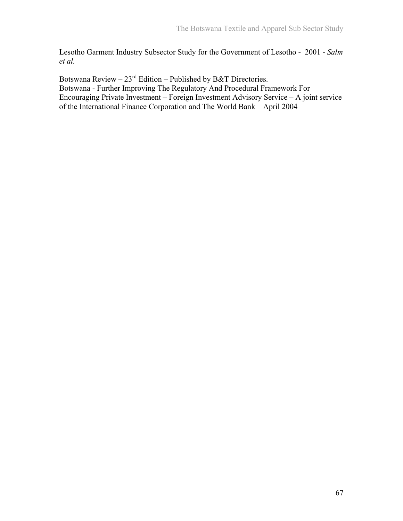Lesotho Garment Industry Subsector Study for the Government of Lesotho - 2001 - *Salm et al.* 

Botswana Review –  $23<sup>rd</sup>$  Edition – Published by B&T Directories. Botswana - Further Improving The Regulatory And Procedural Framework For Encouraging Private Investment – Foreign Investment Advisory Service – A joint service of the International Finance Corporation and The World Bank – April 2004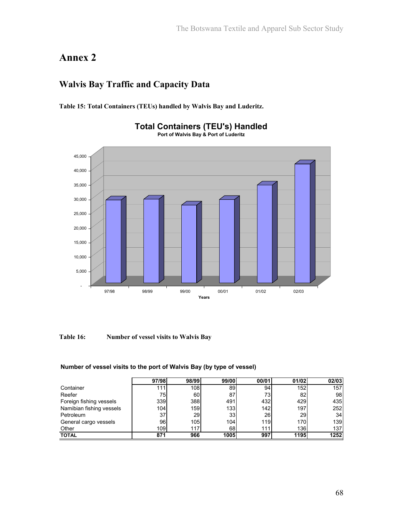# **Annex 2**

## **Walvis Bay Traffic and Capacity Data**

**Table 15: Total Containers (TEUs) handled by Walvis Bay and Luderitz.** 



#### **Total Containers (TEU's) Handled Port of Walvis Bay & Port of Luderitz**

**Table 16: Number of vessel visits to Walvis Bay** 

|                          | 97/98 | 98/99 | 99/00            | 00/01 | 01/02 | 02/03 |
|--------------------------|-------|-------|------------------|-------|-------|-------|
| Container                | 111.  | 108   | 89               | 94    | 152   | 157   |
| Reefer                   | 75    | 60    | 87               | 73    | 82    | 98    |
| Foreign fishing vessels  | 339   | 388   | 491              | 432   | 429   | 435   |
| Namibian fishing vessels | 104   | 159   | 133 <sup>1</sup> | 142   | 197   | 252   |
| Petroleum                | 37    | 29    | 33               | 26    | 29    | 34    |
| General cargo vessels    | 96    | 105   | 104              | 119   | 170   | 139   |
| Other                    | 109   | 117   | 68               | 111   | 136   | 137   |
| <b>TOTAL</b>             | 871   | 966   | 1005             | 997   | 1195  | 1252  |

### **Number of vessel visits to the port of Walvis Bay (by type of vessel)**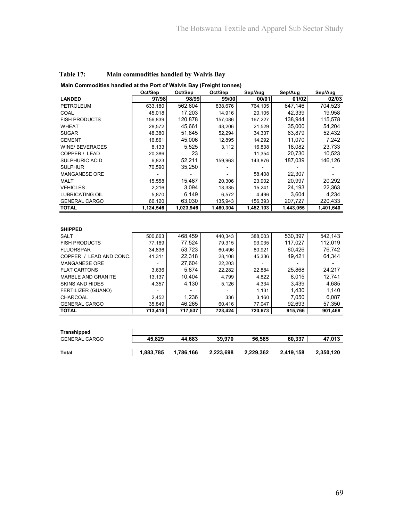**Main Commodities handled at the Port of Walvis Bay (Freight tonnes)**

|                           | Oct/Sep   | Oct/Sep   | Oct/Sep   | Sep/Aug   | Sep/Aug   | Sep/Aug   |
|---------------------------|-----------|-----------|-----------|-----------|-----------|-----------|
| <b>LANDED</b>             | 97/98     | 98/99     | 99/00     | 00/01     | 01/02     | 02/03     |
| <b>PETROLEUM</b>          | 633,180   | 562,604   | 838,676   | 764,105   | 647,146   | 704,523   |
| COAL                      | 45,018    | 17,203    | 14,916    | 20,105    | 42,339    | 19,958    |
| <b>FISH PRODUCTS</b>      | 156,839   | 120,878   | 157,086   | 167,227   | 138,944   | 115,578   |
| <b>WHEAT</b>              | 28,572    | 45,661    | 48,206    | 21,529    | 35,000    | 54,204    |
| <b>SUGAR</b>              | 48,380    | 51,845    | 52,294    | 34,337    | 63,879    | 52,432    |
| <b>CEMENT</b>             | 16,861    | 45,006    | 12,895    | 14,292    | 11,070    | 7,242     |
| <b>WINE/ BEVERAGES</b>    | 8,133     | 5,525     | 3,112     | 16,838    | 18,082    | 23,733    |
| COPPER / LEAD             | 20,386    | 23        |           | 11,354    | 20,730    | 10,523    |
| SULPHURIC ACID            | 6,823     | 52,211    | 159,963   | 143,876   | 187,039   | 146,126   |
| <b>SULPHUR</b>            | 70,590    | 35,250    |           |           |           |           |
| <b>MANGANESE ORE</b>      |           |           |           | 58,408    | 22,307    |           |
| <b>MALT</b>               | 15,558    | 15,467    | 20,306    | 23,902    | 20.997    | 20,292    |
| <b>VEHICLES</b>           | 2,216     | 3,094     | 13,335    | 15,241    | 24,193    | 22,363    |
| <b>LUBRICATING OIL</b>    | 5,870     | 6,149     | 6,572     | 4,496     | 3,604     | 4,234     |
| <b>GENERAL CARGO</b>      | 66,120    | 63,030    | 135,943   | 156,393   | 207,727   | 220,433   |
| <b>TOTAL</b>              | 1,124,546 | 1,023,946 | 1,460,304 | 1,452,103 | 1,443,055 | 1,401,640 |
|                           |           |           |           |           |           |           |
|                           |           |           |           |           |           |           |
| <b>SHIPPED</b>            |           |           |           |           |           |           |
| <b>SALT</b>               | 500,663   | 468,459   | 440,343   | 388,003   | 530,397   | 542,143   |
| <b>FISH PRODUCTS</b>      | 77,169    | 77,524    | 79,315    | 93,035    | 117.027   | 112,019   |
| <b>FLUORSPAR</b>          | 34,836    | 53,723    | 60,496    | 80,921    | 80,426    | 76,742    |
| COPPER / LEAD AND CONC.   | 41,311    | 22,318    | 28,108    | 45,336    | 49,421    | 64,344    |
| <b>MANGANESE ORE</b>      |           | 27,604    | 22,203    |           |           |           |
| <b>FLAT CARTONS</b>       | 3,636     | 5,874     | 22,282    | 22,884    | 25,868    | 24,217    |
| <b>MARBLE AND GRANITE</b> | 13,137    | 10,404    | 4,799     | 4,822     | 8,015     | 12,741    |
| <b>SKINS AND HIDES</b>    | 4,357     | 4,130     | 5,126     | 4,334     | 3,439     | 4,685     |
| FERTILIZER (GUANO)        |           |           |           | 1,131     | 1,430     | 1,140     |
| CHARCOAL                  | 2,452     | 1,236     | 336       | 3,160     | 7,050     | 6,087     |
| <b>GENERAL CARGO</b>      | 35,849    | 46,265    | 60,416    | 77,047    | 92,693    | 57,350    |
| <b>TOTAL</b>              | 713,410   | 717,537   | 723,424   | 720,673   | 915,766   | 901,468   |
|                           |           |           |           |           |           |           |
|                           |           |           |           |           |           |           |
| <b>Tranchinned</b>        |           |           |           |           |           |           |

| Transhipped          |           |           |           |           |           |           |
|----------------------|-----------|-----------|-----------|-----------|-----------|-----------|
| <b>GENERAL CARGO</b> | 45.829    | 44.683    | 39,970    | 56.585    | 60.337    | 47.013    |
| Total                | 1,883,785 | 1.786.166 | 2,223,698 | 2,229,362 | 2.419.158 | 2,350,120 |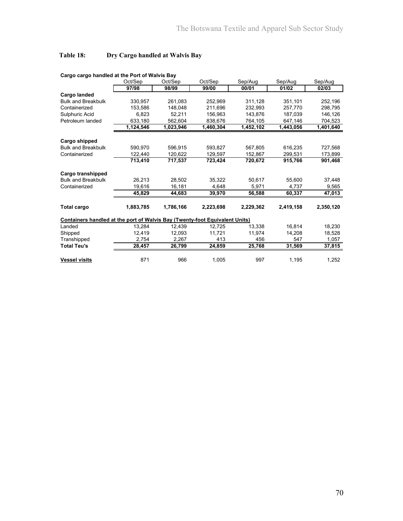### **Table 18: Dry Cargo handled at Walvis Bay**

|                                                                                    | Oct/Sep   | Oct/Sep   | Oct/Sep   | Sep/Aug   | Sep/Aug   | Sep/Aug   |
|------------------------------------------------------------------------------------|-----------|-----------|-----------|-----------|-----------|-----------|
|                                                                                    | 97/98     | 98/99     | 99/00     | 00/01     | 01/02     | 02/03     |
| Cargo landed                                                                       |           |           |           |           |           |           |
| <b>Bulk and Breakbulk</b>                                                          | 330,957   | 261,083   | 252,969   | 311,128   | 351,101   | 252,196   |
| Containerized                                                                      | 153.586   | 148.048   | 211.696   | 232.993   | 257.770   | 298.795   |
| Sulphuric Acid                                                                     | 6,823     | 52.211    | 156.963   | 143,876   | 187,039   | 146,126   |
| Petroleum landed                                                                   | 633,180   | 562,604   | 838,676   | 764,105   | 647,146   | 704,523   |
|                                                                                    | 1,124,546 | 1,023,946 | 1,460,304 | 1,452,102 | 1,443,056 | 1,401,640 |
| Cargo shipped                                                                      |           |           |           |           |           |           |
| <b>Bulk and Breakbulk</b>                                                          | 590.970   | 596.915   | 593.827   | 567.805   | 616.235   | 727,568   |
| Containerized                                                                      | 122,440   | 120,622   | 129,597   | 152,867   | 299,531   | 173,899   |
|                                                                                    | 713.410   | 717,537   | 723,424   | 720.672   | 915,766   | 901,468   |
| Cargo transhipped                                                                  |           |           |           |           |           |           |
| <b>Bulk and Breakbulk</b>                                                          | 26,213    | 28,502    | 35,322    | 50,617    | 55,600    | 37,448    |
| Containerized                                                                      | 19,616    | 16,181    | 4.648     | 5,971     | 4.737     | 9,565     |
|                                                                                    | 45,829    | 44,683    | 39,970    | 56,588    | 60,337    | 47,013    |
| <b>Total cargo</b>                                                                 | 1,883,785 | 1,786,166 | 2,223,698 | 2,229,362 | 2,419,158 | 2,350,120 |
| <b>Containers handled at the port of Walvis Bay (Twenty-foot Equivalent Units)</b> |           |           |           |           |           |           |
| Landed                                                                             | 13,284    | 12,439    | 12,725    | 13,338    | 16,814    | 18,230    |
| Shipped                                                                            | 12.419    | 12.093    | 11.721    | 11,974    | 14,208    | 18,528    |
| Transhipped                                                                        | 2,754     | 2,267     | 413       | 456       | 547       | 1,057     |
| <b>Total Teu's</b>                                                                 | 28,457    | 26,799    | 24,859    | 25,768    | 31,569    | 37,815    |
| <b>Vessel visits</b>                                                               | 871       | 966       | 1,005     | 997       | 1,195     | 1,252     |

#### **Cargo cargo handled at the Port of Walvis Bay**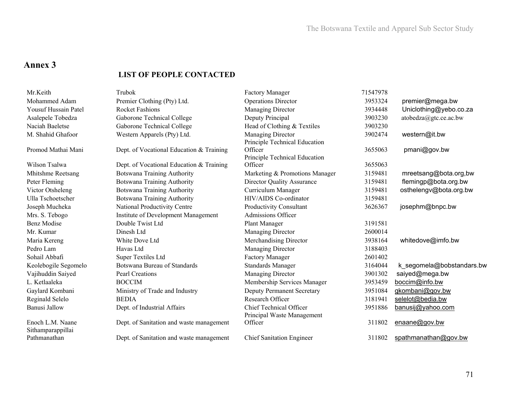### **Annex 3**

#### **LIST OF PEOPLE CONTACTED**

| Mr.Keith                              | Trubok                                   | <b>Factory Manager</b>                                | 71547978 |                           |
|---------------------------------------|------------------------------------------|-------------------------------------------------------|----------|---------------------------|
| Mohammed Adam                         | Premier Clothing (Pty) Ltd.              | <b>Operations Director</b>                            | 3953324  | premier@mega.bw           |
| Yousuf Hussain Patel                  | <b>Rocket Fashions</b>                   | Managing Director                                     | 3934448  | Uniclothing@yebo.co.za    |
| Asalepele Tobedza                     | Gaborone Technical College               | Deputy Principal                                      | 3903230  | atobedza@gtc.ce.ac.bw     |
| Naciah Baeletse                       | Gaborone Technical College               | Head of Clothing & Textiles                           | 3903230  |                           |
| M. Shahid Ghafoor                     | Western Apparels (Pty) Ltd.              | Managing Director<br>Principle Technical Education    | 3902474  | western@it.bw             |
| Promod Mathai Mani                    | Dept. of Vocational Education & Training | Officer<br>Principle Technical Education              | 3655063  | pmani@gov.bw              |
| Wilson Tsalwa                         | Dept. of Vocational Education & Training | Officer                                               | 3655063  |                           |
| Mhitshme Reetsang                     | Botswana Training Authority              | Marketing & Promotions Manager                        | 3159481  | mreetsang@bota.org,bw     |
| Peter Fleming                         | <b>Botswana Training Authority</b>       | <b>Director Quality Assurance</b>                     | 3159481  | flemingp@bota.org.bw      |
| Victor Otsheleng                      | Botswana Training Authority              | Curriculum Manager                                    | 3159481  | osthelengv@bota.org.bw    |
| Ulla Tschoetscher                     | <b>Botswana Training Authority</b>       | HIV/AIDS Co-ordinator                                 | 3159481  |                           |
| Joseph Mucheka                        | National Productivity Centre             | <b>Productivity Consultant</b>                        | 3626367  | josephm@bnpc.bw           |
| Mrs. S. Tebogo                        | Institute of Development Management      | Admissions Officer                                    |          |                           |
| <b>Benz Modise</b>                    | Double Twist Ltd                         | Plant Manager                                         | 3191581  |                           |
| Mr. Kumar                             | Dinesh Ltd                               | Managing Director                                     | 2600014  |                           |
| Maria Kereng                          | White Dove Ltd                           | Merchandising Director                                | 3938164  | whitedove@imfo.bw         |
| Pedro Lam                             | Havas Ltd                                | Managing Director                                     | 3188403  |                           |
| Sohail Abbafi                         | Super Textiles Ltd                       | <b>Factory Manager</b>                                | 2601402  |                           |
| Keolebogile Segomelo                  | Botswana Bureau of Standards             | <b>Standards Manager</b>                              | 3164044  | k segomela@bobstandars.bw |
| Vajihuddin Saiyed                     | Pearl Creations                          | Managing Director                                     | 3901302  | saiyed@mega.bw            |
| L. Ketlaaleka                         | <b>BOCCIM</b>                            | Membership Services Manager                           | 3953459  | boccim@info.bw            |
| Gaylard Kombani                       | Ministry of Trade and Industry           | <b>Deputy Permanent Secretary</b>                     | 3951084  | gkombani@gov.bw           |
| Reginald Selelo                       | <b>BEDIA</b>                             | Research Officer                                      | 3181941  | selelot@bedia.bw          |
| Banusi Jallow                         | Dept. of Industrial Affairs              | Chief Technical Officer<br>Principal Waste Management | 3951886  | banusij@yahoo.com         |
| Enoch L.M. Naane<br>Sithamparappillai | Dept. of Sanitation and waste management | Officer                                               | 311802   | enaane@gov.bw             |
| Pathmanathan                          | Dept. of Sanitation and waste management | <b>Chief Sanitation Engineer</b>                      | 311802   | spathmanathan@gov.bw      |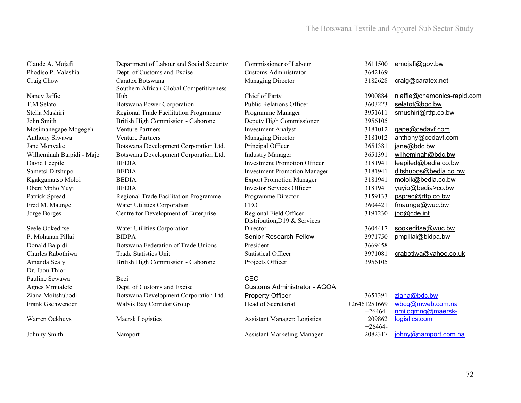| Claude A. Mojafi          | Department of Labour and Social Security | Commissioner of Labour              | 3611500        | emojafi@gov.bw              |
|---------------------------|------------------------------------------|-------------------------------------|----------------|-----------------------------|
| Phodiso P. Valashia       | Dept. of Customs and Excise              | <b>Customs Administrator</b>        | 3642169        |                             |
| Craig Chow                | Caratex Botswana                         | Managing Director                   | 3182628        | craig@caratex.net           |
|                           | Southern African Global Competitiveness  |                                     |                |                             |
| Nancy Jaffie              | Hub                                      | Chief of Party                      | 3900884        | njaffie@chemonics-rapid.com |
| T.M.Selato                | <b>Botswana Power Corporation</b>        | <b>Public Relations Officer</b>     | 3603223        | selatot@bpc.bw              |
| Stella Mushiri            | Regional Trade Facilitation Programme    | Programme Manager                   | 3951611        | smushiri@rtfp.co.bw         |
| John Smith                | British High Commission - Gaborone       | Deputy High Commissioner            | 3956105        |                             |
| Mosimanegape Mogegeh      | <b>Venture Partners</b>                  | <b>Investment Analyst</b>           | 3181012        | gape@cedavf.com             |
| Anthony Siwawa            | <b>Venture Partners</b>                  | Managing Director                   | 3181012        | anthony@cedavf.com          |
| Jane Monyake              | Botswana Development Corporation Ltd.    | Principal Officer                   | 3651381        | jane@bdc.bw                 |
| Wilheminah Baipidi - Maje | Botswana Development Corporation Ltd.    | <b>Industry Manager</b>             | 3651391        | wilheminah@bdc.bw           |
| David Leepile             | <b>BEDIA</b>                             | <b>Investment Promotion Officer</b> | 3181941        | leepiled@bedia.co.bw        |
| Sametsi Ditshupo          | <b>BEDIA</b>                             | <b>Investment Promotion Manager</b> | 3181941        | ditshupos@bedia.co.bw       |
| Kgakgamatso Moloi         | <b>BEDIA</b>                             | <b>Export Promotion Manager</b>     | 3181941        | moloik@bedia.co.bw          |
| Obert Mpho Yuyi           | <b>BEDIA</b>                             | <b>Investor Services Officer</b>    | 3181941        | yuyio@bedia>co.bw           |
| Patrick Spread            | Regional Trade Facilitation Programme    | Programme Director                  | 3159133        | pspred@rtfp.co.bw           |
| Fred M. Maunge            | Water Utilities Corporation              | <b>CEO</b>                          | 3604421        | fmaunge@wuc.bw              |
| Jorge Borges              | Centre for Development of Enterprise     | Regional Field Officer              | 3191230        | jbo@cde.int                 |
|                           |                                          | Distribution, D19 & Services        |                |                             |
| Seele Ookeditse           | Water Utilities Corporation              | Director                            | 3604417        | sookeditse@wuc.bw           |
| P. Mohanan Pillai         | <b>BIDPA</b>                             | Senior Research Fellow              | 3971750        | pmpillai@bidpa.bw           |
| Donald Baipidi            | Botswana Federation of Trade Unions      | President                           | 3669458        |                             |
| Charles Rabothiwa         | <b>Trade Statistics Unit</b>             | <b>Statistical Officer</b>          | 3971081        | crabotiwa@yahoo.co.uk       |
| Amanda Sealy              | British High Commission - Gaborone       | Projects Officer                    | 3956105        |                             |
| Dr. Ibou Thior            |                                          |                                     |                |                             |
| Pauline Sewawa            | Beci                                     | CEO                                 |                |                             |
| Agnes Mmualefe            | Dept. of Customs and Excise              | <b>Customs Administrator - AGOA</b> |                |                             |
| Ziana Moitshubodi         | Botswana Development Corporation Ltd.    | <b>Property Officer</b>             | 3651391        | ziana@bdc.bw                |
| Frank Gschwender          | Walvis Bay Corridor Group                | Head of Secretariat                 | $+26461251669$ | wbcg@mweb.com.na            |
|                           |                                          |                                     | $+26464-$      | nmilogmng@maersk-           |
| Warren Ockhuys            | Maersk Logistics                         | <b>Assistant Manager: Logistics</b> | 209862         | logistics.com               |
|                           |                                          |                                     | $+26464-$      |                             |
| Johnny Smith              | Namport                                  | <b>Assistant Marketing Manager</b>  | 2082317        | johny@namport.com.na        |